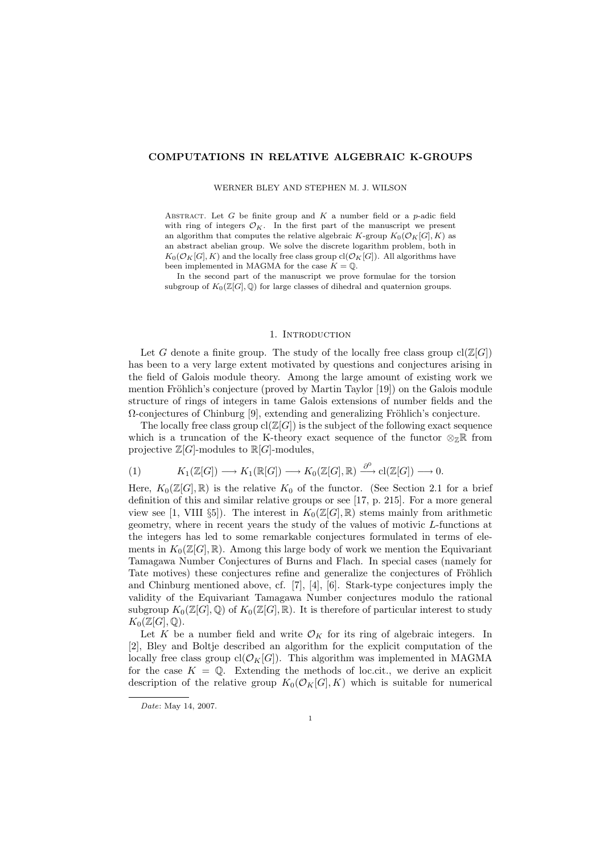#### COMPUTATIONS IN RELATIVE ALGEBRAIC K-GROUPS

WERNER BLEY AND STEPHEN M. J. WILSON

ABSTRACT. Let  $G$  be finite group and  $K$  a number field or a  $p$ -adic field with ring of integers  $\mathcal{O}_K$ . In the first part of the manuscript we present an algorithm that computes the relative algebraic K-group  $K_0(\mathcal{O}_K[G], K)$  as an abstract abelian group. We solve the discrete logarithm problem, both in  $K_0(\mathcal{O}_K[G], K)$  and the locally free class group cl $(\mathcal{O}_K[G])$ . All algorithms have been implemented in MAGMA for the case  $K = \mathbb{Q}$ .

In the second part of the manuscript we prove formulae for the torsion subgroup of  $K_0(\mathbb{Z}[G], \mathbb{Q})$  for large classes of dihedral and quaternion groups.

#### 1. INTRODUCTION

Let G denote a finite group. The study of the locally free class group  $cl(\mathbb{Z}[G])$ has been to a very large extent motivated by questions and conjectures arising in the field of Galois module theory. Among the large amount of existing work we mention Fröhlich's conjecture (proved by Martin Taylor [19]) on the Galois module structure of rings of integers in tame Galois extensions of number fields and the  $\Omega$ -conjectures of Chinburg [9], extending and generalizing Fröhlich's conjecture.

The locally free class group  $cl(\mathbb{Z}[G])$  is the subject of the following exact sequence which is a truncation of the K-theory exact sequence of the functor  $\otimes_{\mathbb{Z}}\mathbb{R}$  from projective  $\mathbb{Z}[G]$ -modules to  $\mathbb{R}[G]$ -modules,

(1) 
$$
K_1(\mathbb{Z}[G]) \longrightarrow K_1(\mathbb{R}[G]) \longrightarrow K_0(\mathbb{Z}[G], \mathbb{R}) \stackrel{\partial^0}{\longrightarrow} cl(\mathbb{Z}[G]) \longrightarrow 0.
$$

Here,  $K_0(\mathbb{Z}[G], \mathbb{R})$  is the relative  $K_0$  of the functor. (See Section 2.1 for a brief definition of this and similar relative groups or see [17, p. 215]. For a more general view see [1, VIII §5]). The interest in  $K_0(\mathbb{Z}[G], \mathbb{R})$  stems mainly from arithmetic geometry, where in recent years the study of the values of motivic L-functions at the integers has led to some remarkable conjectures formulated in terms of elements in  $K_0(\mathbb{Z}[G], \mathbb{R})$ . Among this large body of work we mention the Equivariant Tamagawa Number Conjectures of Burns and Flach. In special cases (namely for Tate motives) these conjectures refine and generalize the conjectures of Fröhlich and Chinburg mentioned above, cf. [7], [4], [6]. Stark-type conjectures imply the validity of the Equivariant Tamagawa Number conjectures modulo the rational subgroup  $K_0(\mathbb{Z}[G], \mathbb{Q})$  of  $K_0(\mathbb{Z}[G], \mathbb{R})$ . It is therefore of particular interest to study  $K_0(\mathbb{Z}[G],\mathbb{Q}).$ 

Let K be a number field and write  $\mathcal{O}_K$  for its ring of algebraic integers. In [2], Bley and Boltje described an algorithm for the explicit computation of the locally free class group  $cl(\mathcal{O}_K[G])$ . This algorithm was implemented in MAGMA for the case  $K = \mathbb{Q}$ . Extending the methods of loc.cit., we derive an explicit description of the relative group  $K_0(\mathcal{O}_K[G], K)$  which is suitable for numerical

Date: May 14, 2007.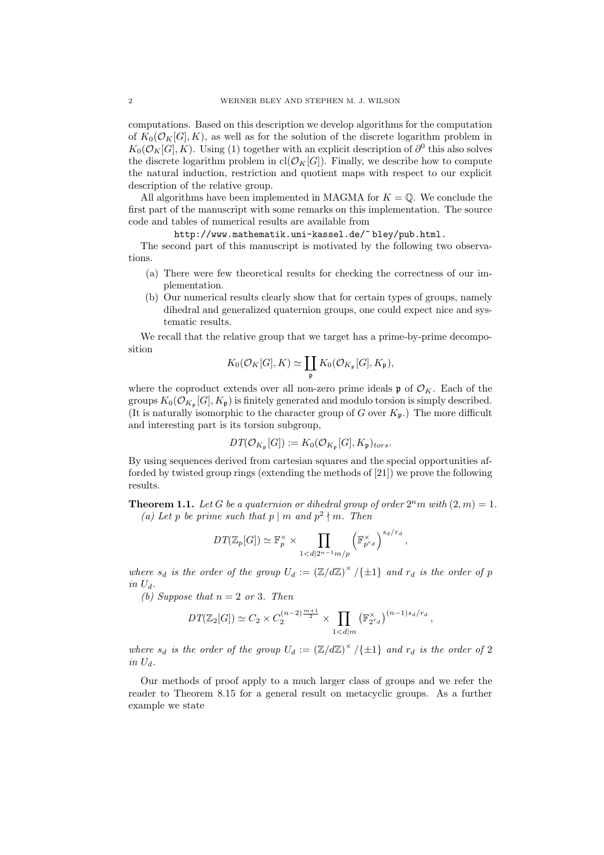computations. Based on this description we develop algorithms for the computation of  $K_0(\mathcal{O}_K[G], K)$ , as well as for the solution of the discrete logarithm problem in  $K_0(\mathcal{O}_K[G], K)$ . Using (1) together with an explicit description of  $\partial^0$  this also solves the discrete logarithm problem in  $cl(\mathcal{O}_K[G])$ . Finally, we describe how to compute the natural induction, restriction and quotient maps with respect to our explicit description of the relative group.

All algorithms have been implemented in MAGMA for  $K = \mathbb{Q}$ . We conclude the first part of the manuscript with some remarks on this implementation. The source code and tables of numerical results are available from

http://www.mathematik.uni-kassel.de/~ bley/pub.html.

The second part of this manuscript is motivated by the following two observations.

- (a) There were few theoretical results for checking the correctness of our implementation.
- (b) Our numerical results clearly show that for certain types of groups, namely dihedral and generalized quaternion groups, one could expect nice and systematic results.

We recall that the relative group that we target has a prime-by-prime decomposition

$$
K_0(\mathcal{O}_K[G], K) \simeq \coprod_{\mathfrak{p}} K_0(\mathcal{O}_{K_{\mathfrak{p}}}[G], K_{\mathfrak{p}}),
$$

where the coproduct extends over all non-zero prime ideals  $\mathfrak{p}$  of  $\mathcal{O}_K$ . Each of the groups  $K_0(\mathcal{O}_{K_{\mathfrak{p}}}[G], K_{\mathfrak{p}})$  is finitely generated and modulo torsion is simply described. (It is naturally isomorphic to the character group of G over  $K_{p}$ .) The more difficult and interesting part is its torsion subgroup,

$$
DT(\mathcal{O}_{K_{\mathfrak{p}}}[G]):=K_0(\mathcal{O}_{K_{\mathfrak{p}}}[G],K_{\mathfrak{p}})_{tors}.
$$

By using sequences derived from cartesian squares and the special opportunities afforded by twisted group rings (extending the methods of [21]) we prove the following results.

**Theorem 1.1.** Let G be a quaternion or dihedral group of order  $2^n m$  with  $(2, m) = 1$ . (a) Let p be prime such that  $p \mid m$  and  $p^2 \nmid m$ . Then

$$
DT(\mathbb{Z}_p[G]) \simeq \mathbb{F}_p^{\times} \times \prod_{1 < d \mid 2^{n-1}m/p} \left(\mathbb{F}_{p^{r_d}}^{\times}\right)^{s_d/r_d},
$$

where  $s_d$  is the order of the group  $U_d := (\mathbb{Z}/d\mathbb{Z})^{\times}/\{\pm 1\}$  and  $r_d$  is the order of p in  $U_d$ .

(b) Suppose that  $n = 2$  or 3. Then

$$
DT(\mathbb{Z}_{2}[G]) \simeq C_{2} \times C_{2}^{(n-2)\frac{m+1}{2}} \times \prod_{1 < d|m} (\mathbb{F}_{2^{r_d}}^{*})^{(n-1)s_d/r_d},
$$

where  $s_d$  is the order of the group  $U_d := (\mathbb{Z}/d\mathbb{Z})^{\times}/\{\pm 1\}$  and  $r_d$  is the order of 2 in  $U_d$ .

Our methods of proof apply to a much larger class of groups and we refer the reader to Theorem 8.15 for a general result on metacyclic groups. As a further example we state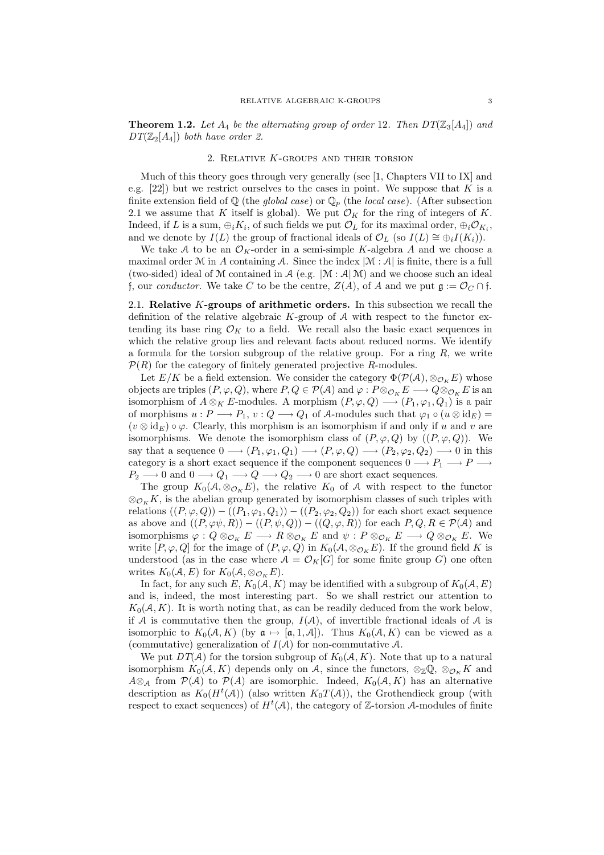**Theorem 1.2.** Let  $A_4$  be the alternating group of order 12. Then  $DT(\mathbb{Z}_3[A_4])$  and  $DT(\mathbb{Z}_2[A_4])$  both have order 2.

#### 2. Relative K-groups and their torsion

Much of this theory goes through very generally (see [1, Chapters VII to IX] and e.g.  $[22]$ ) but we restrict ourselves to the cases in point. We suppose that K is a finite extension field of  $\mathbb Q$  (the *global case*) or  $\mathbb Q_p$  (the *local case*). (After subsection 2.1 we assume that K itself is global). We put  $\mathcal{O}_K$  for the ring of integers of K. Indeed, if L is a sum,  $\oplus_i K_i$ , of such fields we put  $\mathcal{O}_L$  for its maximal order,  $\oplus_i \mathcal{O}_{K_i}$ , and we denote by  $I(L)$  the group of fractional ideals of  $\mathcal{O}_L$  (so  $I(L) \cong \bigoplus_i I(K_i)$ ).

We take A to be an  $\mathcal{O}_K$ -order in a semi-simple K-algebra A and we choose a maximal order M in A containing A. Since the index  $|\mathcal{M} : \mathcal{A}|$  is finite, there is a full (two-sided) ideal of M contained in  $\mathcal A$  (e.g.  $|\mathcal M : \mathcal A | \mathcal M$ ) and we choose such an ideal f, our *conductor*. We take C to be the centre,  $Z(A)$ , of A and we put  $\mathfrak{g} := \mathcal{O}_C \cap \mathfrak{f}$ .

2.1. Relative  $K$ -groups of arithmetic orders. In this subsection we recall the definition of the relative algebraic  $K$ -group of  $A$  with respect to the functor extending its base ring  $\mathcal{O}_K$  to a field. We recall also the basic exact sequences in which the relative group lies and relevant facts about reduced norms. We identify a formula for the torsion subgroup of the relative group. For a ring  $R$ , we write  $\mathcal{P}(R)$  for the category of finitely generated projective R-modules.

Let  $E/K$  be a field extension. We consider the category  $\Phi(\mathcal{P}(\mathcal{A}), \otimes_{\mathcal{O}_K} E)$  whose objects are triples  $(P, \varphi, Q)$ , where  $P, Q \in \mathcal{P}(\mathcal{A})$  and  $\varphi : P \otimes_{\mathcal{O}_K} E \longrightarrow Q \otimes_{\mathcal{O}_K} E$  is an isomorphism of  $A \otimes_K E$ -modules. A morphism  $(P, \varphi, Q) \longrightarrow (P_1, \varphi_1, Q_1)$  is a pair of morphisms  $u : P \longrightarrow P_1$ ,  $v : Q \longrightarrow Q_1$  of A-modules such that  $\varphi_1 \circ (u \otimes id_E) =$  $(v \otimes id_E) \circ \varphi$ . Clearly, this morphism is an isomorphism if and only if u and v are isomorphisms. We denote the isomorphism class of  $(P, \varphi, Q)$  by  $((P, \varphi, Q))$ . We say that a sequence  $0 \longrightarrow (P_1, \varphi_1, Q_1) \longrightarrow (P, \varphi, Q) \longrightarrow (P_2, \varphi_2, Q_2) \longrightarrow 0$  in this category is a short exact sequence if the component sequences  $0 \rightarrow P_1 \rightarrow P_2$  $P_2 \longrightarrow 0$  and  $0 \longrightarrow Q_1 \longrightarrow Q \longrightarrow Q_2 \longrightarrow 0$  are short exact sequences.

The group  $K_0(\mathcal{A}, \otimes_{\mathcal{O}_K} E)$ , the relative  $K_0$  of  $\mathcal A$  with respect to the functor  $\otimes_{\mathcal{O}_K} K$ , is the abelian group generated by isomorphism classes of such triples with relations  $((P, \varphi, Q)) - ((P_1, \varphi_1, Q_1)) - ((P_2, \varphi_2, Q_2))$  for each short exact sequence as above and  $((P,\varphi\psi,R)) - ((P,\psi,Q)) - ((Q,\varphi,R))$  for each  $P,Q,R \in \mathcal{P}(\mathcal{A})$  and isomorphisms  $\varphi: Q \otimes_{\mathcal{O}_K} E \longrightarrow R \otimes_{\mathcal{O}_K} E$  and  $\psi: P \otimes_{\mathcal{O}_K} E \longrightarrow Q \otimes_{\mathcal{O}_K} E$ . We write  $[P, \varphi, Q]$  for the image of  $(P, \varphi, Q)$  in  $K_0(A, \otimes_{\mathcal{O}_K} E)$ . If the ground field K is understood (as in the case where  $A = \mathcal{O}_K[G]$  for some finite group G) one often writes  $K_0(A, E)$  for  $K_0(A, \otimes_{\mathcal{O}_K} E)$ .

In fact, for any such E,  $K_0(A, K)$  may be identified with a subgroup of  $K_0(A, E)$ and is, indeed, the most interesting part. So we shall restrict our attention to  $K_0(\mathcal{A}, K)$ . It is worth noting that, as can be readily deduced from the work below, if A is commutative then the group,  $I(A)$ , of invertible fractional ideals of A is isomorphic to  $K_0(A, K)$  (by  $\mathfrak{a} \mapsto [\mathfrak{a}, 1, \mathcal{A}]$ ). Thus  $K_0(A, K)$  can be viewed as a (commutative) generalization of  $I(A)$  for non-commutative A.

We put  $DT(\mathcal{A})$  for the torsion subgroup of  $K_0(\mathcal{A}, K)$ . Note that up to a natural isomorphism  $K_0(\mathcal{A}, K)$  depends only on  $\mathcal{A}$ , since the functors,  $\otimes_{\mathbb{Z}} \mathbb{Q}$ ,  $\otimes_{\mathcal{O}_K} K$  and  $A\otimes_{\mathcal{A}}$  from  $\mathcal{P}(\mathcal{A})$  to  $\mathcal{P}(A)$  are isomorphic. Indeed,  $K_0(\mathcal{A}, K)$  has an alternative description as  $K_0(H^t(\mathcal{A}))$  (also written  $K_0(T(\mathcal{A}))$ , the Grothendieck group (with respect to exact sequences) of  $H^t(\mathcal{A})$ , the category of Z-torsion A-modules of finite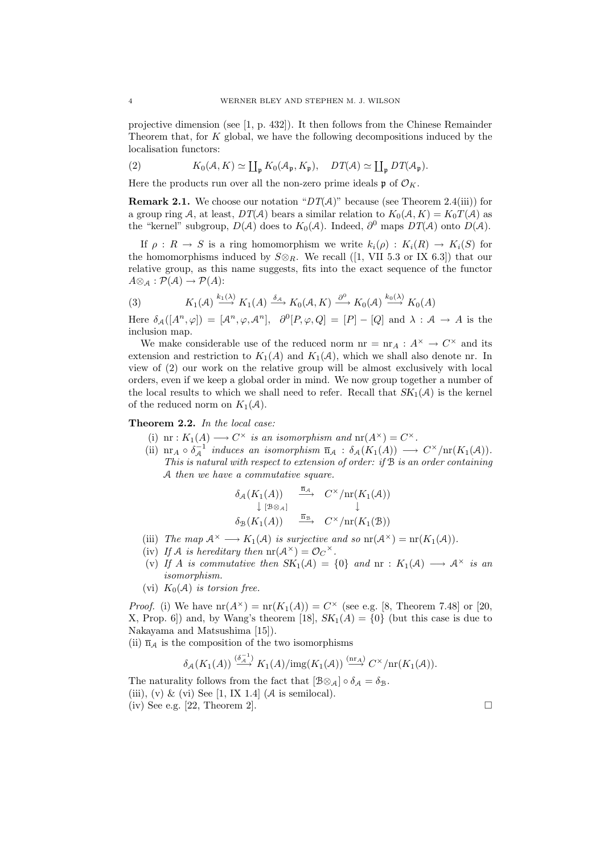projective dimension (see [1, p. 432]). It then follows from the Chinese Remainder Theorem that, for K global, we have the following decompositions induced by the localisation functors:

(2) 
$$
K_0(\mathcal{A}, K) \simeq \coprod_{\mathfrak{p}} K_0(\mathcal{A}_{\mathfrak{p}}, K_{\mathfrak{p}}), \quad DT(\mathcal{A}) \simeq \coprod_{\mathfrak{p}} DT(\mathcal{A}_{\mathfrak{p}}).
$$

Here the products run over all the non-zero prime ideals  $\mathfrak{p}$  of  $\mathcal{O}_K$ .

**Remark 2.1.** We choose our notation " $DT(A)$ " because (see Theorem 2.4(iii)) for a group ring A, at least,  $DT(\mathcal{A})$  bears a similar relation to  $K_0(\mathcal{A}, K) = K_0T(\mathcal{A})$  as the "kernel" subgroup,  $D(\mathcal{A})$  does to  $K_0(\mathcal{A})$ . Indeed,  $\partial^0$  maps  $DT(\mathcal{A})$  onto  $D(\mathcal{A})$ .

If  $\rho: R \to S$  is a ring homomorphism we write  $k_i(\rho): K_i(R) \to K_i(S)$  for the homomorphisms induced by  $S \otimes_R$ . We recall ([1, VII 5.3 or IX 6.3]) that our relative group, as this name suggests, fits into the exact sequence of the functor  $A\otimes_{\mathcal{A}}: \mathcal{P}(\mathcal{A})\to \mathcal{P}(A)$ :

(3) 
$$
K_1(\mathcal{A}) \stackrel{k_1(\lambda)}{\longrightarrow} K_1(\mathcal{A}) \stackrel{\delta_{\mathcal{A}}}{\longrightarrow} K_0(\mathcal{A}, K) \stackrel{\partial^0}{\longrightarrow} K_0(\mathcal{A}) \stackrel{k_0(\lambda)}{\longrightarrow} K_0(\mathcal{A})
$$

Here  $\delta_{\mathcal{A}}([A^n,\varphi]) = [\mathcal{A}^n,\varphi,\mathcal{A}^n], \quad \partial^0[P,\varphi,Q] = [P] - [Q] \text{ and } \lambda : \mathcal{A} \to \mathcal{A} \text{ is the }$ inclusion map.

We make considerable use of the reduced norm  $nr = nr_A : A^{\times} \to C^{\times}$  and its extension and restriction to  $K_1(A)$  and  $K_1(\mathcal{A})$ , which we shall also denote nr. In view of (2) our work on the relative group will be almost exclusively with local orders, even if we keep a global order in mind. We now group together a number of the local results to which we shall need to refer. Recall that  $SK_1(\mathcal{A})$  is the kernel of the reduced norm on  $K_1(\mathcal{A})$ .

Theorem 2.2. In the local case:

- (i) nr :  $K_1(A) \longrightarrow C^{\times}$  is an isomorphism and  $\operatorname{nr}(A^{\times}) = C^{\times}$ .
- (ii)  $\operatorname{nr}_A \circ \delta_A^{-1}$  induces an isomorphism  $\overline{\operatorname{n}}_A : \delta_A(K_1(A)) \longrightarrow C^{\times}/\operatorname{nr}(K_1(A)).$ This is natural with respect to extension of order: if  $\mathcal B$  is an order containing A then we have a commutative square.

$$
\begin{array}{ccc}\n\delta_{\mathcal{A}}(K_1(A)) & \xrightarrow{\overline{\mathbf{n}}_{\mathcal{A}}} & C^{\times}/\mathrm{nr}(K_1(\mathcal{A})) \\
\downarrow [\mathcal{B} \otimes_{\mathcal{A}}] & & \downarrow \\
\delta_{\mathcal{B}}(K_1(A)) & \xrightarrow{\overline{\mathbf{n}}_{\mathcal{B}}} & C^{\times}/\mathrm{nr}(K_1(\mathcal{B}))\n\end{array}
$$

- (iii) The map  $\mathcal{A}^{\times} \longrightarrow K_1(\mathcal{A})$  is surjective and so  $\text{nr}(\mathcal{A}^{\times}) = \text{nr}(K_1(\mathcal{A})).$
- (iv) If A is hereditary then  $\operatorname{nr}(\mathcal{A}^{\times}) = \mathcal{O}_{C}^{\times}$ .
- (v) If A is commutative then  $SK_1(\mathcal{A}) = \{0\}$  and  $nr : K_1(\mathcal{A}) \longrightarrow \mathcal{A}^{\times}$  is an isomorphism.
- (vi)  $K_0(\mathcal{A})$  is torsion free.

*Proof.* (i) We have  $\text{nr}(A^{\times}) = \text{nr}(K_1(A)) = C^{\times}$  (see e.g. [8, Theorem 7.48] or [20, X, Prop. 6]) and, by Wang's theorem [18],  $SK_1(A) = \{0\}$  (but this case is due to Nakayama and Matsushima [15]).

(ii)  $\overline{n}_A$  is the composition of the two isomorphisms

$$
\delta_{\mathcal{A}}(K_1(A)) \xrightarrow{(\delta_{\mathcal{A}}^{-1})} K_1(A)/\mathrm{img}(K_1(\mathcal{A})) \xrightarrow{(\mathrm{nr}_A)} C^{\times}/\mathrm{nr}(K_1(\mathcal{A})).
$$

The naturality follows from the fact that  $[\mathcal{B}\otimes_{\mathcal{A}}] \circ \delta_{\mathcal{A}} = \delta_{\mathcal{B}}$ . (iii), (v) & (vi) See  $[1, IX 1.4]$  (A is semilocal). (iv) See e.g. [22, Theorem 2].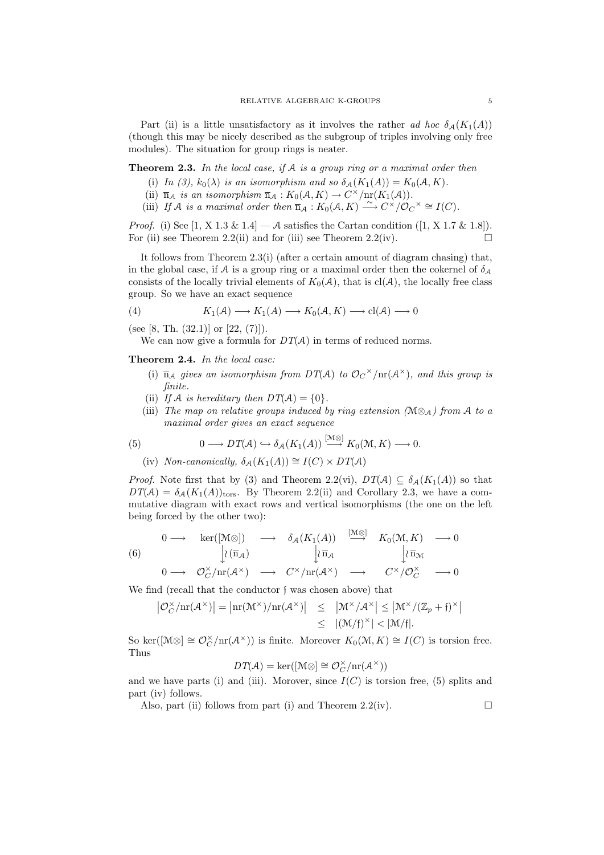Part (ii) is a little unsatisfactory as it involves the rather ad hoc  $\delta_A(K_1(A))$ (though this may be nicely described as the subgroup of triples involving only free modules). The situation for group rings is neater.

## Theorem 2.3. In the local case, if A is a group ring or a maximal order then

- (i) In (3),  $k_0(\lambda)$  is an isomorphism and so  $\delta_{\mathcal{A}}(K_1(A)) = K_0(\mathcal{A}, K)$ .
- (ii)  $\overline{n}_A$  is an isomorphism  $\overline{n}_A : K_0(A, K) \to C^{\times}/\mathrm{nr}(K_1(A)).$
- (iii) If A is a maximal order then  $\overline{n}_A : K_0(A, K) \longrightarrow C^{\times}/\mathcal{O}_C^{\times} \cong I(C)$ .

*Proof.* (i) See [1, X 1.3 & 1.4]  $-A$  satisfies the Cartan condition ([1, X 1.7 & 1.8]). For (ii) see Theorem 2.2(ii) and for (iii) see Theorem 2.2(iv).  $\Box$ 

It follows from Theorem 2.3(i) (after a certain amount of diagram chasing) that, in the global case, if A is a group ring or a maximal order then the cokernel of  $\delta_{\mathcal{A}}$ consists of the locally trivial elements of  $K_0(\mathcal{A})$ , that is  $cl(\mathcal{A})$ , the locally free class group. So we have an exact sequence

(4) 
$$
K_1(\mathcal{A}) \longrightarrow K_1(\mathcal{A}) \longrightarrow K_0(\mathcal{A}, K) \longrightarrow \text{cl}(\mathcal{A}) \longrightarrow 0
$$

(see [8, Th. (32.1)] or [22, (7)]).

We can now give a formula for  $DT(\mathcal{A})$  in terms of reduced norms.

Theorem 2.4. In the local case:

- (i)  $\overline{n}_A$  gives an isomorphism from DT(A) to  $\mathcal{O}_C^{\times}/\text{nr}(A^{\times})$ , and this group is finite.
- (ii) If A is hereditary then  $DT(A) = \{0\}.$
- (iii) The map on relative groups induced by ring extension  $(\mathcal{M} \otimes_{\mathcal{A}})$  from A to a maximal order gives an exact sequence

(5) 
$$
0 \longrightarrow DT(\mathcal{A}) \hookrightarrow \delta_{\mathcal{A}}(K_1(\mathcal{A})) \stackrel{[{\mathcal{M}} \otimes]}{\longrightarrow} K_0({\mathcal{M}}, K) \longrightarrow 0.
$$

(iv) Non-canonically,  $\delta_A(K_1(A)) \cong I(C) \times DT(A)$ 

*Proof.* Note first that by (3) and Theorem 2.2(vi),  $DT(A) \subseteq \delta_A(K_1(A))$  so that  $DT(A) = \delta_A(K_1(A))_{\text{tors}}$ . By Theorem 2.2(ii) and Corollary 2.3, we have a commutative diagram with exact rows and vertical isomorphisms (the one on the left being forced by the other two):

(6) 
$$
\begin{array}{ccccccccc}\n & 0 & \longrightarrow & \ker([\mathcal{M}\otimes]) & \longrightarrow & \delta_{\mathcal{A}}(K_1(A)) & \stackrel{[\mathcal{M}\otimes]}{\longrightarrow} & K_0(\mathcal{M}, K) & \longrightarrow 0 \\
 & & \downarrow \wr \overline{\mathfrak{n}}_{\mathcal{A}} & & \downarrow \wr \overline{\mathfrak{n}}_{\mathcal{M}}\n\end{array}
$$

$$
0 \longrightarrow \mathcal{O}_C^{\times}/\mathrm{nr}(\mathcal{A}^{\times}) \longrightarrow C^{\times}/\mathrm{nr}(\mathcal{A}^{\times}) \longrightarrow C^{\times}/\mathcal{O}_C^{\times} \longrightarrow 0
$$

We find (recall that the conductor f was chosen above) that

$$
\left| \mathcal{O}_C^\times / \mathrm{nr}(\mathcal{A}^\times) \right| = \left| \mathrm{nr}(\mathcal{M}^\times) / \mathrm{nr}(\mathcal{A}^\times) \right| \leq \left| \mathcal{M}^\times / \mathcal{A}^\times \right| \leq \left| \mathcal{M}^\times / (\mathbb{Z}_p + \mathfrak{f})^\times \right|
$$
  

$$
\leq \left| (\mathcal{M}/\mathfrak{f})^\times \right| < |\mathcal{M}/\mathfrak{f}|.
$$

So ker( $[\mathcal{M}\otimes] \cong \mathcal{O}_C^{\times}/\mathrm{nr}(\mathcal{A}^{\times})$ ) is finite. Moreover  $K_0(\mathcal{M}, K) \cong I(C)$  is torsion free. Thus

$$
DT(\mathcal{A}) = \ker([\mathcal{M} \otimes] \cong \mathcal{O}_C^\times / \mathrm{nr}(\mathcal{A}^\times))
$$

and we have parts (i) and (iii). Morover, since  $I(C)$  is torsion free, (5) splits and part (iv) follows.

Also, part (ii) follows from part (i) and Theorem 2.2(iv).  $\Box$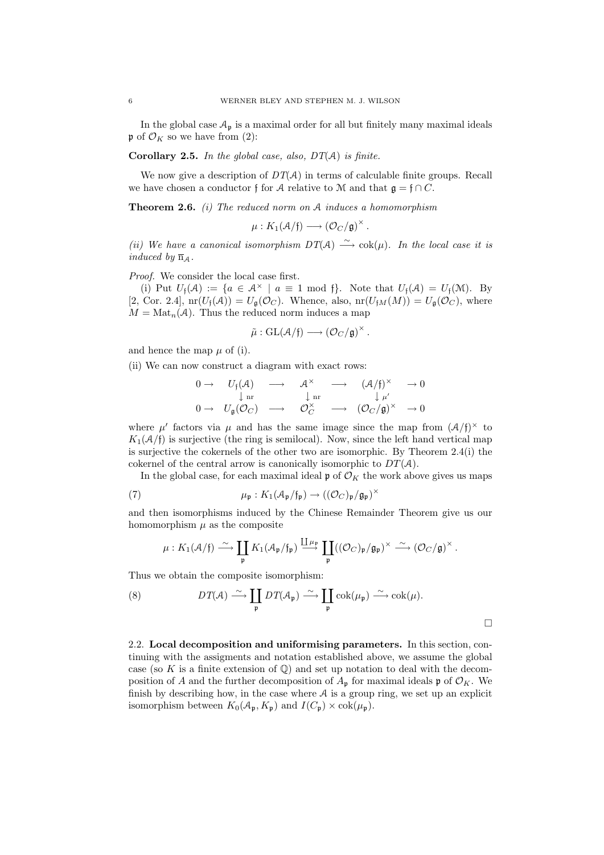In the global case  $A_{\mathfrak{p}}$  is a maximal order for all but finitely many maximal ideals  $\mathfrak{p}$  of  $\mathcal{O}_K$  so we have from (2):

**Corollary 2.5.** In the global case, also,  $DT(A)$  is finite.

We now give a description of  $DT(A)$  in terms of calculable finite groups. Recall we have chosen a conductor f for A relative to M and that  $\mathfrak{g} = \mathfrak{f} \cap C$ .

**Theorem 2.6.** (i) The reduced norm on  $A$  induces a homomorphism

$$
\mu: K_1(\mathcal{A}/\mathfrak{f}) \longrightarrow (\mathcal{O}_C/\mathfrak{g})^{\times}.
$$

(ii) We have a canonical isomorphism  $DT(A) \xrightarrow{\sim} \text{cok}(\mu)$ . In the local case it is induced by  $\overline{n}_A$ .

Proof. We consider the local case first.

(i) Put  $U_f(\mathcal{A}) := \{a \in \mathcal{A}^\times \mid a \equiv 1 \mod f\}$ . Note that  $U_f(\mathcal{A}) = U_f(\mathcal{M})$ . By [2, Cor. 2.4],  $\text{nr}(U_f(\mathcal{A})) = U_{\mathfrak{q}}(\mathcal{O}_C)$ . Whence, also,  $\text{nr}(U_{fM}(M)) = U_{\mathfrak{q}}(\mathcal{O}_C)$ , where  $M = \text{Mat}_n(\mathcal{A})$ . Thus the reduced norm induces a map

$$
\tilde{\mu} : GL(\mathcal{A}/\mathfrak{f}) \longrightarrow (\mathcal{O}_C/\mathfrak{g})^{\times}.
$$

and hence the map  $\mu$  of (i).

(ii) We can now construct a diagram with exact rows:

$$
\begin{array}{ccccccc}\n0 \to & U_{\mathfrak{f}}(\mathcal{A}) & \longrightarrow & \mathcal{A}^{\times} & \longrightarrow & (\mathcal{A}/\mathfrak{f})^{\times} & \to 0 \\
& \downarrow \text{ nr} & & \downarrow \text{ nr} & & \downarrow \mu' \\
0 \to & U_{\mathfrak{g}}(\mathcal{O}_C) & \longrightarrow & \mathcal{O}_C^{\times} & \longrightarrow & (\mathcal{O}_C/\mathfrak{g})^{\times} & \to 0\n\end{array}
$$

where  $\mu'$  factors via  $\mu$  and has the same image since the map from  $(\mathcal{A}/f)^{\times}$  to  $K_1(\mathcal{A}/\mathfrak{f})$  is surjective (the ring is semilocal). Now, since the left hand vertical map is surjective the cokernels of the other two are isomorphic. By Theorem 2.4(i) the cokernel of the central arrow is canonically isomorphic to  $DT(\mathcal{A})$ .

In the global case, for each maximal ideal  $\mathfrak{p}$  of  $\mathcal{O}_K$  the work above gives us maps

(7) 
$$
\mu_{\mathfrak{p}}: K_1(\mathcal{A}_{\mathfrak{p}}/\mathfrak{f}_{\mathfrak{p}}) \to ((\mathcal{O}_C)_{\mathfrak{p}}/\mathfrak{g}_{\mathfrak{p}})^{\times}
$$

and then isomorphisms induced by the Chinese Remainder Theorem give us our homomorphism  $\mu$  as the composite

$$
\mu: K_1(\mathcal{A}/\mathfrak{f}) \stackrel{\sim}{\longrightarrow} \coprod_{\mathfrak{p}} K_1(\mathcal{A}_{\mathfrak{p}}/\mathfrak{f}_{\mathfrak{p}}) \stackrel{\coprod \mu_{\mathfrak{p}}}{\longrightarrow} \coprod_{\mathfrak{p}} ((\mathcal{O}_C)_{\mathfrak{p}}/\mathfrak{g}_{\mathfrak{p}})^{\times} \stackrel{\sim}{\longrightarrow} (\mathcal{O}_C/\mathfrak{g})^{\times}.
$$

Thus we obtain the composite isomorphism:

(8) 
$$
DT(\mathcal{A}) \stackrel{\sim}{\longrightarrow} \coprod_{\mathfrak{p}} DT(\mathcal{A}_{\mathfrak{p}}) \stackrel{\sim}{\longrightarrow} \coprod_{\mathfrak{p}} \text{cok}(\mu_{\mathfrak{p}}) \stackrel{\sim}{\longrightarrow} \text{cok}(\mu).
$$

2.2. Local decomposition and uniformising parameters. In this section, continuing with the assigments and notation established above, we assume the global case (so K is a finite extension of  $\mathbb{Q}$ ) and set up notation to deal with the decomposition of A and the further decomposition of  $A_{\mathfrak{p}}$  for maximal ideals  $\mathfrak{p}$  of  $\mathcal{O}_K$ . We finish by describing how, in the case where  $A$  is a group ring, we set up an explicit isomorphism between  $K_0(\mathcal{A}_{\mathfrak{p}}, K_{\mathfrak{p}})$  and  $I(C_{\mathfrak{p}}) \times \text{cok}(\mu_{\mathfrak{p}})$ .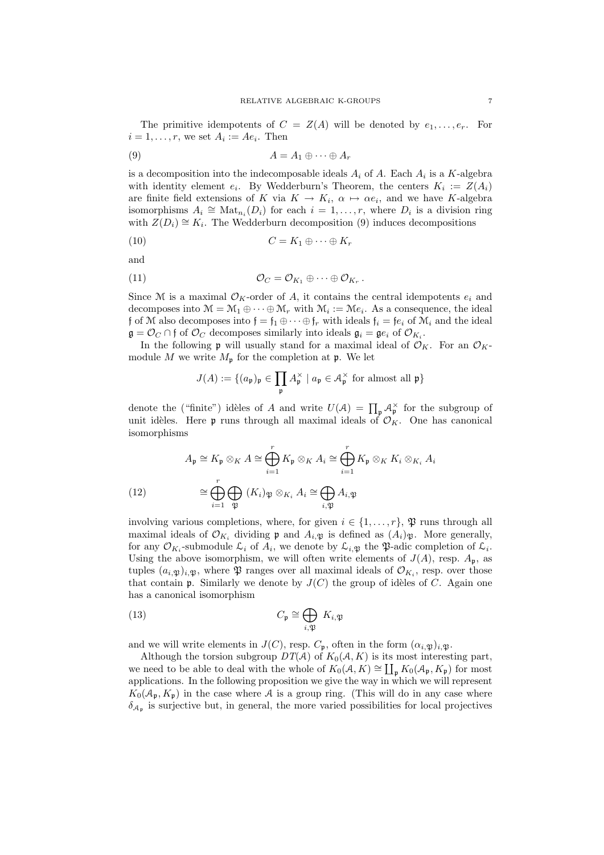The primitive idempotents of  $C = Z(A)$  will be denoted by  $e_1, \ldots, e_r$ . For  $i = 1, \ldots, r$ , we set  $A_i := Ae_i$ . Then

$$
(9) \t\t A = A_1 \oplus \cdots \oplus A_r
$$

is a decomposition into the indecomposable ideals  $A_i$  of A. Each  $A_i$  is a K-algebra with identity element  $e_i$ . By Wedderburn's Theorem, the centers  $K_i := Z(A_i)$ are finite field extensions of K via  $K \to K_i$ ,  $\alpha \mapsto \alpha e_i$ , and we have K-algebra isomorphisms  $A_i \cong \text{Mat}_{n_i}(D_i)$  for each  $i = 1, \ldots, r$ , where  $D_i$  is a division ring with  $Z(D_i) \cong K_i$ . The Wedderburn decomposition (9) induces decompositions

$$
(10) \tC = K_1 \oplus \cdots \oplus K_r
$$

and

(11) 
$$
\mathcal{O}_C = \mathcal{O}_{K_1} \oplus \cdots \oplus \mathcal{O}_{K_r}.
$$

Since M is a maximal  $\mathcal{O}_K$ -order of A, it contains the central idempotents  $e_i$  and decomposes into  $\mathcal{M} = \mathcal{M}_1 \oplus \cdots \oplus \mathcal{M}_r$  with  $\mathcal{M}_i := \mathcal{M}e_i$ . As a consequence, the ideal f of M also decomposes into  $f = f_1 \oplus \cdots \oplus f_r$  with ideals  $f_i = fe_i$  of  $\mathcal{M}_i$  and the ideal  $\mathfrak{g} = \mathcal{O}_C \cap \mathfrak{f}$  of  $\mathcal{O}_C$  decomposes similarly into ideals  $\mathfrak{g}_i = \mathfrak{ge}_i$  of  $\mathcal{O}_{K_i}$ .

In the following **p** will usually stand for a maximal ideal of  $\mathcal{O}_K$ . For an  $\mathcal{O}_K$ module M we write  $M_{\mathfrak{p}}$  for the completion at  $\mathfrak{p}$ . We let

$$
J(A) := \{ (a_{\mathfrak{p}})_{\mathfrak{p}} \in \prod_{\mathfrak{p}} A_{\mathfrak{p}}^{\times} \mid a_{\mathfrak{p}} \in A_{\mathfrak{p}}^{\times} \text{ for almost all } \mathfrak{p} \}
$$

denote the ("finite") idèles of A and write  $U(\mathcal{A}) = \prod_{\mathfrak{p}} \mathcal{A}_{\mathfrak{p}}^{\times}$  for the subgroup of unit idèles. Here p runs through all maximal ideals of  $\mathcal{O}_K$ . One has canonical isomorphisms

(12) 
$$
A_{\mathfrak{p}} \cong K_{\mathfrak{p}} \otimes_K A \cong \bigoplus_{i=1}^r K_{\mathfrak{p}} \otimes_K A_i \cong \bigoplus_{i=1}^r K_{\mathfrak{p}} \otimes_K K_i \otimes_{K_i} A_i
$$

$$
\cong \bigoplus_{i=1}^r \bigoplus_{\mathfrak{P}} (K_i)_{\mathfrak{P}} \otimes_{K_i} A_i \cong \bigoplus_{i,\mathfrak{P}} A_{i,\mathfrak{P}}
$$

involving various completions, where, for given  $i \in \{1, \ldots, r\}$ ,  $\mathfrak{P}$  runs through all maximal ideals of  $\mathcal{O}_{K_i}$  dividing **p** and  $A_{i,\mathfrak{P}}$  is defined as  $(A_i)_{\mathfrak{P}}$ . More generally, for any  $\mathcal{O}_{K_i}$ -submodule  $\mathcal{L}_i$  of  $A_i$ , we denote by  $\mathcal{L}_{i,\mathfrak{P}}$  the  $\mathfrak{P}$ -adic completion of  $\mathcal{L}_i$ . Using the above isomorphism, we will often write elements of  $J(A)$ , resp.  $A_{\mathfrak{p}}$ , as tuples  $(a_i, \mathfrak{p})_{i,\mathfrak{P}},$  where  $\mathfrak{P}$  ranges over all maximal ideals of  $\mathcal{O}_{K_i}$ , resp. over those that contain  $\mathfrak p$ . Similarly we denote by  $J(C)$  the group of idèles of C. Again one has a canonical isomorphism

(13) 
$$
C_{\mathfrak{p}} \cong \bigoplus_{i, \mathfrak{P}} K_{i, \mathfrak{P}}
$$

and we will write elements in  $J(C)$ , resp.  $C_{\mathfrak{p}}$ , often in the form  $(\alpha_{i,\mathfrak{P}})_{i,\mathfrak{P}}$ .

Although the torsion subgroup  $DT(A)$  of  $K_0(A, K)$  is its most interesting part, we need to be able to deal with the whole of  $K_0(A, K) \cong \coprod_{\mathfrak{p}} K_0(A_{\mathfrak{p}}, K_{\mathfrak{p}})$  for most applications. In the following proposition we give the way in which we will represent  $K_0(\mathcal{A}_{\mathfrak{p}}, K_{\mathfrak{p}})$  in the case where A is a group ring. (This will do in any case where  $\delta_{\mathcal{A}_{\mathfrak{p}}}$  is surjective but, in general, the more varied possibilities for local projectives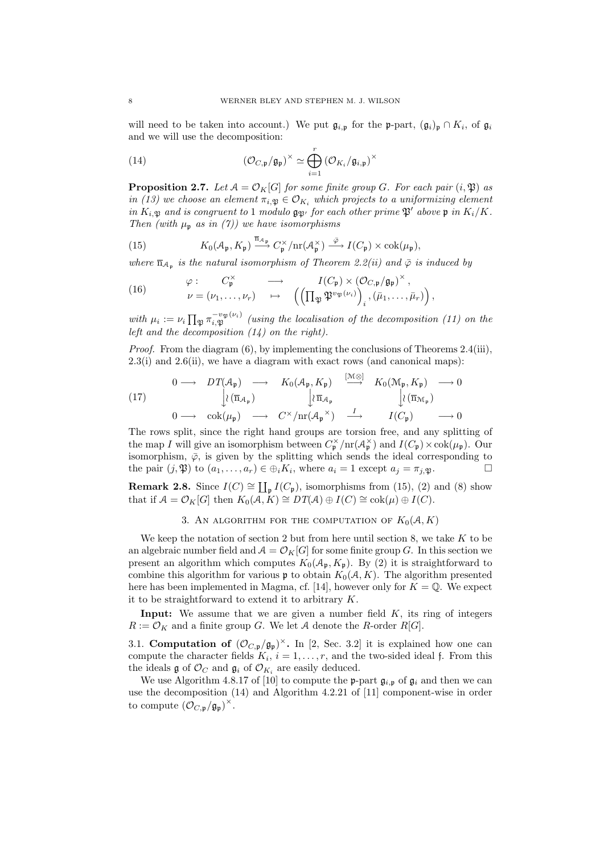will need to be taken into account.) We put  $\mathfrak{g}_{i,\mathfrak{p}}$  for the p-part,  $(\mathfrak{g}_i)_{\mathfrak{p}} \cap K_i$ , of  $\mathfrak{g}_i$ and we will use the decomposition:

(14) 
$$
(\mathcal{O}_{C,\mathfrak{p}}/\mathfrak{g}_{\mathfrak{p}})^{\times} \simeq \bigoplus_{i=1}^{r} (\mathcal{O}_{K_i}/\mathfrak{g}_{i,\mathfrak{p}})^{\times}
$$

**Proposition 2.7.** Let  $A = \mathcal{O}_K[G]$  for some finite group G. For each pair  $(i, \mathfrak{P})$  as in (13) we choose an element  $\pi_{i,\mathfrak{P}} \in \mathcal{O}_{K_i}$  which projects to a uniformizing element in  $K_{i,\mathfrak{P}}$  and is congruent to 1 modulo  $\mathfrak{g}_{\mathfrak{P}'}$  for each other prime  $\mathfrak{P}'$  above  $\mathfrak{p}$  in  $K_i/K$ . Then (with  $\mu_{p}$  as in (7)) we have isomorphisms

(15) 
$$
K_0(\mathcal{A}_{\mathfrak{p}}, K_{\mathfrak{p}}) \stackrel{\overline{\mathfrak{n}}_{\mathcal{A}_{\mathfrak{p}}}}{\longrightarrow} C_{\mathfrak{p}}^{\times}/\mathrm{nr}(\mathcal{A}_{\mathfrak{p}}^{\times}) \stackrel{\overline{\varphi}}{\longrightarrow} I(C_{\mathfrak{p}}) \times \mathrm{cok}(\mu_{\mathfrak{p}}),
$$

where  $\overline{n}_{A_p}$  is the natural isomorphism of Theorem 2.2(ii) and  $\overline{\varphi}$  is induced by

(16) 
$$
\varphi: C_{\mathfrak{p}}^{\times} \longrightarrow I(C_{\mathfrak{p}}) \times (\mathcal{O}_{C,\mathfrak{p}}/\mathfrak{g}_{\mathfrak{p}})^{\times},
$$

$$
\nu = (\nu_1, \ldots, \nu_r) \longrightarrow \left( \left( \prod_{\mathfrak{P}} \mathfrak{P}^{v_{\mathfrak{P}}(\nu_i)} \right)_i, (\bar{\mu}_1, \ldots, \bar{\mu}_r) \right),
$$

with  $\mu_i := \nu_i \prod_{\mathfrak{P}} \pi_{i,\mathfrak{P}}^{-v_{\mathfrak{P}}(\nu_i)}$  (using the localisation of the decomposition (11) on the left and the decomposition  $(14)$  on the right).

Proof. From the diagram (6), by implementing the conclusions of Theorems 2.4(iii), 2.3(i) and 2.6(ii), we have a diagram with exact rows (and canonical maps):

(17) 0 −→ DT(Ap) −→ K0(Ap, Kp) [M⊗] −→ K0(Mp, Kp) −→ 0 <sup>y</sup>o(n<sup>A</sup><sup>p</sup> ) <sup>y</sup><sup>o</sup> <sup>n</sup>A<sup>p</sup> <sup>y</sup>o(n<sup>M</sup><sup>p</sup> ) 0 −→ cok(µp) −→ C <sup>×</sup>/nr(A<sup>p</sup> ×) <sup>I</sup> −→ I(Cp) −→ 0

The rows split, since the right hand groups are torsion free, and any splitting of the map I will give an isomorphism between  $C_{\mathfrak{p}}^{\times}/\text{nr}(\mathcal{A}_{\mathfrak{p}}^{\times})$  and  $I(C_{\mathfrak{p}}) \times \text{cok}(\mu_{\mathfrak{p}})$ . Our isomorphism,  $\bar{\varphi}$ , is given by the splitting which sends the ideal corresponding to the pair  $(j, \mathfrak{P})$  to  $(a_1, \ldots, a_r) \in \bigoplus_i K_i$ , where  $a_i = 1$  except  $a_j = \pi_{j, \mathfrak{P}}$ .

**Remark 2.8.** Since  $I(C) \cong \coprod_{\mathfrak{p}} I(C_{\mathfrak{p}})$ , isomorphisms from (15), (2) and (8) show that if  $A = \mathcal{O}_K[G]$  then  $K_0(A, K) \cong DT(A) \oplus I(C) \cong \text{cok}(\mu) \oplus I(C)$ .

#### 3. AN ALGORITHM FOR THE COMPUTATION OF  $K_0(A, K)$

We keep the notation of section 2 but from here until section 8, we take  $K$  to be an algebraic number field and  $A = \mathcal{O}_K[G]$  for some finite group G. In this section we present an algorithm which computes  $K_0(\mathcal{A}_{\mathfrak{p}}, K_{\mathfrak{p}})$ . By (2) it is straightforward to combine this algorithm for various  $\mathfrak p$  to obtain  $K_0(\mathcal A, K)$ . The algorithm presented here has been implemented in Magma, cf. [14], however only for  $K = \mathbb{Q}$ . We expect it to be straightforward to extend it to arbitrary K.

**Input:** We assume that we are given a number field  $K$ , its ring of integers  $R := \mathcal{O}_K$  and a finite group G. We let A denote the R-order R[G].

3.1. Computation of  $(\mathcal{O}_{C,\mathfrak{p}}/\mathfrak{g}_{\mathfrak{p}})^{\times}$ . In [2, Sec. 3.2] it is explained how one can compute the character fields  $K_i$ ,  $i = 1, \ldots, r$ , and the two-sided ideal f. From this the ideals  $\mathfrak g$  of  $\mathcal O_C$  and  $\mathfrak g_i$  of  $\mathcal O_{K_i}$  are easily deduced.

We use Algorithm 4.8.17 of [10] to compute the **p**-part  $\mathfrak{g}_{i,p}$  of  $\mathfrak{g}_i$  and then we can use the decomposition (14) and Algorithm 4.2.21 of [11] component-wise in order to compute  $(\mathcal{O}_{C,p}/\mathfrak{g}_{\mathfrak{p}})^\times$ .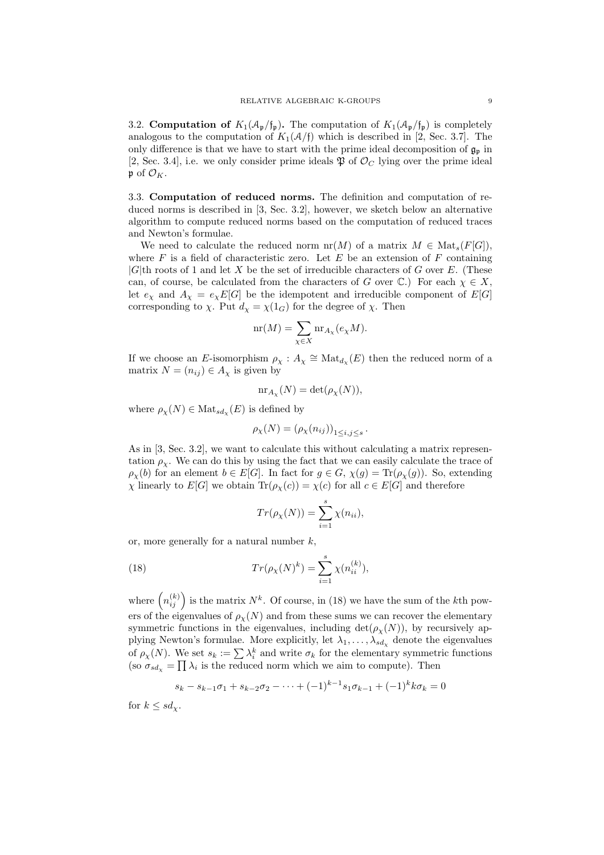3.2. **Computation of**  $K_1(\mathcal{A}_{\mathfrak{p}}/f_{\mathfrak{p}})$ . The computation of  $K_1(\mathcal{A}_{\mathfrak{p}}/f_{\mathfrak{p}})$  is completely analogous to the computation of  $K_1(\mathcal{A}/f)$  which is described in [2, Sec. 3.7]. The only difference is that we have to start with the prime ideal decomposition of  $\mathfrak{g}_{\mathfrak{p}}$  in [2, Sec. 3.4], i.e. we only consider prime ideals  $\mathfrak P$  of  $\mathcal O_C$  lying over the prime ideal  $\mathfrak{p}$  of  $\mathcal{O}_K$ .

3.3. Computation of reduced norms. The definition and computation of reduced norms is described in [3, Sec. 3.2], however, we sketch below an alternative algorithm to compute reduced norms based on the computation of reduced traces and Newton's formulae.

We need to calculate the reduced norm  $nr(M)$  of a matrix  $M \in Mat_s(F[G]),$ where  $F$  is a field of characteristic zero. Let  $E$  be an extension of  $F$  containing  $|G|$ th roots of 1 and let X be the set of irreducible characters of G over E. (These can, of course, be calculated from the characters of G over  $\mathbb{C}$ .) For each  $\chi \in X$ , let  $e_\chi$  and  $A_\chi = e_\chi E[G]$  be the idempotent and irreducible component of  $E[G]$ corresponding to  $\chi$ . Put  $d_{\chi} = \chi(1_G)$  for the degree of  $\chi$ . Then

$$
\mathrm{nr}(M) = \sum_{\chi \in X} \mathrm{nr}_{A_{\chi}}(e_{\chi}M).
$$

If we choose an E-isomorphism  $\rho_{\chi}: A_{\chi} \cong \text{Mat}_{d_{\chi}}(E)$  then the reduced norm of a matrix  $N = (n_{ij}) \in A_{\chi}$  is given by

$$
\mathrm{nr}_{A_{\chi}}(N) = \det(\rho_{\chi}(N)),
$$

where  $\rho_{\chi}(N) \in \text{Mat}_{sd_{\chi}}(E)$  is defined by

$$
\rho_{\chi}(N) = (\rho_{\chi}(n_{ij}))_{1 \le i,j \le s}.
$$

As in [3, Sec. 3.2], we want to calculate this without calculating a matrix representation  $\rho_{\gamma}$ . We can do this by using the fact that we can easily calculate the trace of  $\rho_{\chi}(b)$  for an element  $b \in E[G]$ . In fact for  $g \in G$ ,  $\chi(g) = \text{Tr}(\rho_{\chi}(g))$ . So, extending  $\chi$  linearly to  $E[G]$  we obtain  $\text{Tr}(\rho_\chi(c)) = \chi(c)$  for all  $c \in E[G]$  and therefore

$$
Tr(\rho_X(N)) = \sum_{i=1}^s \chi(n_{ii}),
$$

or, more generally for a natural number  $k$ ,

(18) 
$$
Tr(\rho_X(N)^k) = \sum_{i=1}^s \chi(n_{ii}^{(k)}),
$$

where  $\left(n_{ij}^{(k)}\right)$  is the matrix  $N^k$ . Of course, in (18) we have the sum of the kth powers of the eigenvalues of  $\rho_{\chi}(N)$  and from these sums we can recover the elementary symmetric functions in the eigenvalues, including  $\det(\rho_X(N))$ , by recursively applying Newton's formulae. More explicitly, let  $\lambda_1, \ldots, \lambda_{sd}$  denote the eigenvalues of  $\rho_{\chi}(N)$ . We set  $s_k := \sum \lambda_i^k$  and write  $\sigma_k$  for the elementary symmetric functions (so  $\sigma_{sd_{\chi}} = \prod \lambda_i$  is the reduced norm which we aim to compute). Then

$$
s_k - s_{k-1}\sigma_1 + s_{k-2}\sigma_2 - \dots + (-1)^{k-1}s_1\sigma_{k-1} + (-1)^k k\sigma_k = 0
$$

for  $k \le sd_\chi$ .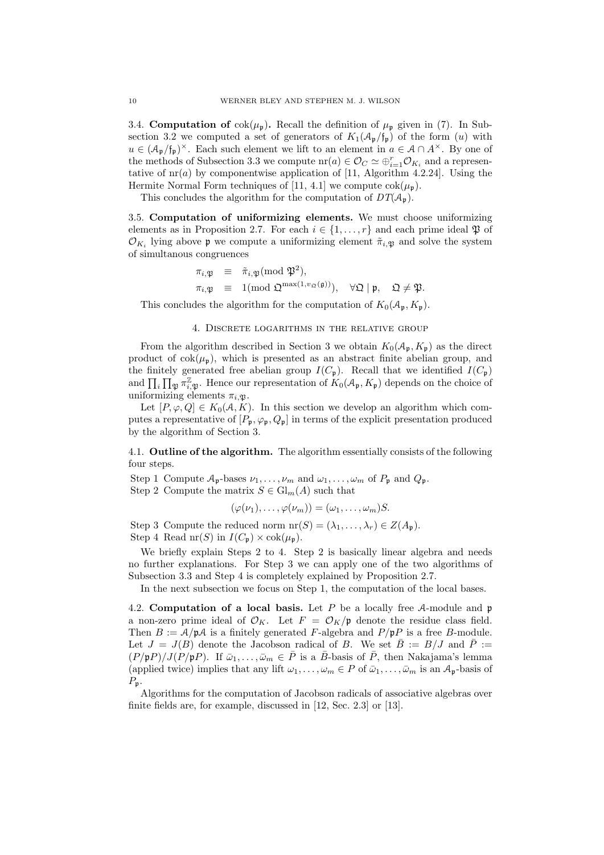3.4. **Computation of**  $\text{cok}(\mu_{\mathfrak{p}})$ . Recall the definition of  $\mu_{\mathfrak{p}}$  given in (7). In Subsection 3.2 we computed a set of generators of  $K_1(\mathcal{A}_{\mathfrak{p}}/\mathfrak{f}_{\mathfrak{p}})$  of the form  $(u)$  with  $u \in (\mathcal{A}_{\mathfrak{p}}/f_{\mathfrak{p}})^{\times}$ . Each such element we lift to an element in  $a \in \mathcal{A} \cap A^{\times}$ . By one of the methods of Subsection 3.3 we compute  $\operatorname{nr}(a) \in \mathcal{O}_C \simeq \bigoplus_{i=1}^r \mathcal{O}_{K_i}$  and a representative of  $\text{nr}(a)$  by componentwise application of [11, Algorithm 4.2.24]. Using the Hermite Normal Form techniques of [11, 4.1] we compute  $\cosh(\mu_n)$ .

This concludes the algorithm for the computation of  $DT(\mathcal{A}_{\mathfrak{p}})$ .

3.5. Computation of uniformizing elements. We must choose uniformizing elements as in Proposition 2.7. For each  $i \in \{1, \ldots, r\}$  and each prime ideal  $\mathfrak{P}$  of  $\mathcal{O}_{K_i}$  lying above **p** we compute a uniformizing element  $\tilde{\pi}_{i,\mathfrak{P}}$  and solve the system of simultanous congruences

$$
\begin{array}{rcl}\n\pi_{i,\mathfrak{P}} & \equiv & \tilde{\pi}_{i,\mathfrak{P}}(\text{mod } \mathfrak{P}^2), \\
\pi_{i,\mathfrak{P}} & \equiv & 1(\text{mod } \mathfrak{Q}^{\max(1,\nu_{\mathfrak{Q}}(\mathfrak{g}))}), \quad \forall \mathfrak{Q} \mid \mathfrak{p}, \quad \mathfrak{Q} \neq \mathfrak{P}.\n\end{array}
$$

This concludes the algorithm for the computation of  $K_0(\mathcal{A}_{\mathfrak{p}}, K_{\mathfrak{p}})$ .

#### 4. Discrete logarithms in the relative group

From the algorithm described in Section 3 we obtain  $K_0(\mathcal{A}_{\mathfrak{p}}, K_{\mathfrak{p}})$  as the direct product of  $\cosh(\mu_{\rm p})$ , which is presented as an abstract finite abelian group, and the finitely generated free abelian group  $I(C_p)$ . Recall that we identified  $I(C_p)$ and  $\prod_i \prod_{\mathfrak{P}} \pi_{i,\mathfrak{P}}^{\mathbb{Z}}$ . Hence our representation of  $K_0(\mathcal{A}_{\mathfrak{p}}, K_{\mathfrak{p}})$  depends on the choice of uniformizing elements  $\pi_{i,\mathfrak{P}}$ .

Let  $[P, \varphi, Q] \in K_0(\mathcal{A}, K)$ . In this section we develop an algorithm which computes a representative of  $[P_p, \varphi_p, Q_p]$  in terms of the explicit presentation produced by the algorithm of Section 3.

4.1. Outline of the algorithm. The algorithm essentially consists of the following four steps.

Step 1 Compute  $A_p$ -bases  $\nu_1, \ldots, \nu_m$  and  $\omega_1, \ldots, \omega_m$  of  $P_p$  and  $Q_p$ . Step 2 Compute the matrix  $S \in Gl_m(A)$  such that

$$
(\varphi(\nu_1),\ldots,\varphi(\nu_m))=(\omega_1,\ldots,\omega_m)S.
$$

Step 3 Compute the reduced norm  $\mathrm{nr}(S) = (\lambda_1, \ldots, \lambda_r) \in Z(A_p)$ . Step 4 Read nr(S) in  $I(C_p) \times \text{cok}(\mu_p)$ .

We briefly explain Steps 2 to 4. Step 2 is basically linear algebra and needs no further explanations. For Step 3 we can apply one of the two algorithms of Subsection 3.3 and Step 4 is completely explained by Proposition 2.7.

In the next subsection we focus on Step 1, the computation of the local bases.

4.2. Computation of a local basis. Let P be a locally free A-module and  $\mathfrak p$ a non-zero prime ideal of  $\mathcal{O}_K$ . Let  $F = \mathcal{O}_K/\mathfrak{p}$  denote the residue class field. Then  $B := \mathcal{A}/\mathfrak{p}\mathcal{A}$  is a finitely generated F-algebra and  $P/\mathfrak{p}P$  is a free B-module. Let  $J = J(B)$  denote the Jacobson radical of B. We set  $\bar{B} := B/J$  and  $\bar{P} :=$  $(P/\mathfrak{p}P)/J(P/\mathfrak{p}P)$ . If  $\bar{\omega}_1,\ldots,\bar{\omega}_m\in\bar{P}$  is a  $\bar{B}$ -basis of  $\bar{P}$ , then Nakajama's lemma (applied twice) implies that any lift  $\omega_1, \ldots, \omega_m \in P$  of  $\bar{\omega}_1, \ldots, \bar{\omega}_m$  is an  $\mathcal{A}_{\mathfrak{p}}$ -basis of  $P_{\mathfrak{p}}.$ 

Algorithms for the computation of Jacobson radicals of associative algebras over finite fields are, for example, discussed in [12, Sec. 2.3] or [13].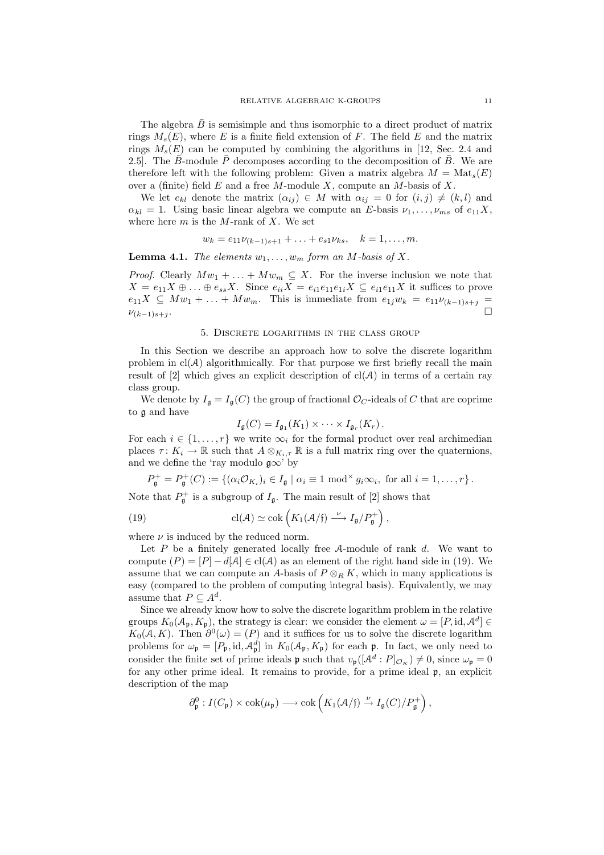The algebra  $B$  is semisimple and thus isomorphic to a direct product of matrix rings  $M_s(E)$ , where E is a finite field extension of F. The field E and the matrix rings  $M_s(E)$  can be computed by combining the algorithms in [12, Sec. 2.4 and 2.5]. The  $\bar{B}$ -module  $\bar{P}$  decomposes according to the decomposition of  $\bar{B}$ . We are therefore left with the following problem: Given a matrix algebra  $M = Mat_s(E)$ over a (finite) field  $E$  and a free  $M$ -module  $X$ , compute an  $M$ -basis of  $X$ .

We let  $e_{kl}$  denote the matrix  $(\alpha_{ij}) \in M$  with  $\alpha_{ij} = 0$  for  $(i, j) \neq (k, l)$  and  $\alpha_{kl} = 1$ . Using basic linear algebra we compute an E-basis  $\nu_1, \ldots, \nu_{ms}$  of  $e_{11}X$ , where here  $m$  is the M-rank of X. We set

$$
w_k = e_{11}\nu_{(k-1)s+1} + \ldots + e_{s1}\nu_{ks}, \quad k = 1, \ldots, m.
$$

**Lemma 4.1.** The elements  $w_1, \ldots, w_m$  form an M-basis of X.

*Proof.* Clearly  $Mw_1 + \ldots + Mw_m \subseteq X$ . For the inverse inclusion we note that  $X = e_{11}X \oplus \ldots \oplus e_{ss}X$ . Since  $e_{ii}X = e_{i1}e_{11}e_{1i}X \subseteq e_{i1}e_{11}X$  it suffices to prove  $e_{11}X \subseteq Mw_1 + \ldots + Mw_m$ . This is immediate from  $e_{1j}w_k = e_{11}\nu_{(k-1)s+j}$  $\nu_{(k-1)s+j}$ . .

#### 5. Discrete logarithms in the class group

In this Section we describe an approach how to solve the discrete logarithm problem in  $cl(A)$  algorithmically. For that purpose we first briefly recall the main result of [2] which gives an explicit description of  $cl(A)$  in terms of a certain ray class group.

We denote by  $I_{\mathfrak{g}} = I_{\mathfrak{g}}(C)$  the group of fractional  $\mathcal{O}_C$ -ideals of C that are coprime to g and have

$$
I_{\mathfrak{g}}(C) = I_{\mathfrak{g}_1}(K_1) \times \cdots \times I_{\mathfrak{g}_r}(K_r).
$$

For each  $i \in \{1, \ldots, r\}$  we write  $\infty_i$  for the formal product over real archimedian places  $\tau: K_i \to \mathbb{R}$  such that  $A \otimes_{K_i, \tau} \mathbb{R}$  is a full matrix ring over the quaternions, and we define the 'ray modulo  $\mathfrak{g}\infty$ ' by

$$
P_{\mathfrak{g}}^{+} = P_{\mathfrak{g}}^{+}(C) := \left\{ (\alpha_{i} \mathcal{O}_{K_{i}})_{i} \in I_{\mathfrak{g}} \mid \alpha_{i} \equiv 1 \bmod^{\times} g_{i} \infty_{i}, \text{ for all } i = 1, \ldots, r \right\}.
$$

Note that  $P_{\mathfrak{g}}^+$  is a subgroup of  $I_{\mathfrak{g}}$ . The main result of [2] shows that

(19) 
$$
\operatorname{cl}(\mathcal{A}) \simeq \operatorname{cok}\left(K_1(\mathcal{A}/\mathfrak{f}) \stackrel{\nu}{\longrightarrow} I_{\mathfrak{g}}/P_{\mathfrak{g}}^+\right),
$$

where  $\nu$  is induced by the reduced norm.

Let  $P$  be a finitely generated locally free  $A$ -module of rank  $d$ . We want to compute  $(P) = [P] - d[A] \in cl(A)$  as an element of the right hand side in (19). We assume that we can compute an A-basis of  $P \otimes_R K$ , which in many applications is easy (compared to the problem of computing integral basis). Equivalently, we may assume that  $P \subseteq A^d$ .

Since we already know how to solve the discrete logarithm problem in the relative groups  $K_0(\mathcal{A}_{\mathfrak{p}}, K_{\mathfrak{p}})$ , the strategy is clear: we consider the element  $\omega = [P, id, \mathcal{A}^d] \in$  $K_0(A, K)$ . Then  $\partial^0(\omega) = (P)$  and it suffices for us to solve the discrete logarithm problems for  $\omega_{\mathfrak{p}} = [P_{\mathfrak{p}}, \mathrm{id}, \mathcal{A}_{\mathfrak{p}}^d]$  in  $K_0(\mathcal{A}_{\mathfrak{p}}, K_{\mathfrak{p}})$  for each  $\mathfrak{p}$ . In fact, we only need to consider the finite set of prime ideals **p** such that  $v_{\mathfrak{p}}([A^d : P]_{\mathcal{O}_K}) \neq 0$ , since  $\omega_{\mathfrak{p}} = 0$ for any other prime ideal. It remains to provide, for a prime ideal p, an explicit description of the map

$$
\partial_{\mathfrak{p}}^0 : I(C_{\mathfrak{p}}) \times \mathrm{cok}(\mu_{\mathfrak{p}}) \longrightarrow \mathrm{cok}\left(K_1(\mathcal{A}/\mathfrak{f}) \stackrel{\nu}{\to} I_{\mathfrak{g}}(C)/P_{\mathfrak{g}}^+\right),
$$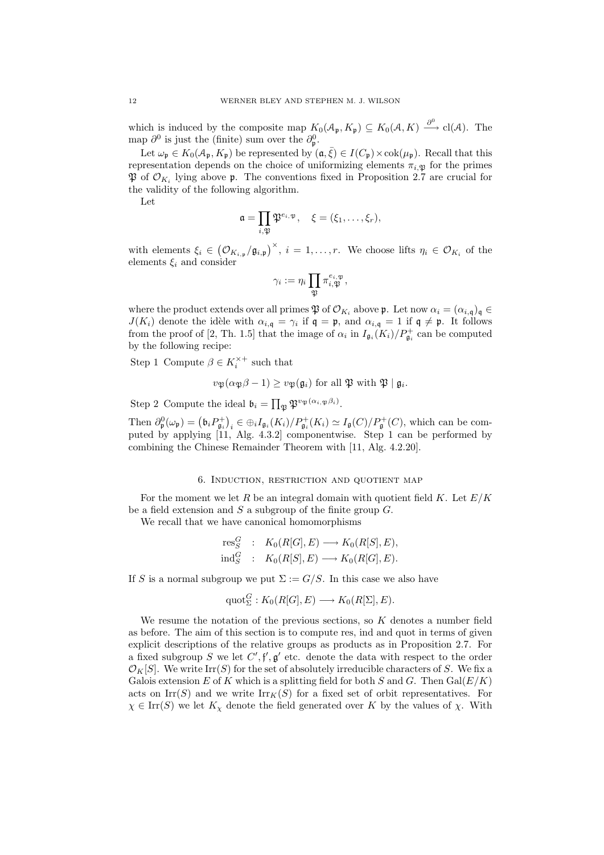which is induced by the composite map  $K_0(\mathcal{A}_{\mathfrak{p}}, K_{\mathfrak{p}}) \subseteq K_0(\mathcal{A}, K) \stackrel{\partial^0}{\longrightarrow} cl(\mathcal{A})$ . The map  $\partial^0$  is just the (finite) sum over the  $\partial^0_{\mathfrak{p}}$ .

Let  $\omega_{\mathfrak{p}} \in K_0(\mathcal{A}_{\mathfrak{p}}, K_{\mathfrak{p}})$  be represented by  $(\mathfrak{a}, \overline{\xi}) \in I(C_{\mathfrak{p}}) \times \mathrm{cok}(\mu_{\mathfrak{p}})$ . Recall that this representation depends on the choice of uniformizing elements  $\pi_{i,\mathfrak{D}}$  for the primes  $\mathfrak{P}$  of  $\mathcal{O}_{K_i}$  lying above  $\mathfrak{p}$ . The conventions fixed in Proposition 2.7 are crucial for the validity of the following algorithm.

Let

$$
\mathfrak{a}=\prod_{i,\mathfrak{P}}\mathfrak{P}^{e_i,\mathfrak{P}},\quad \xi=(\xi_1,\ldots,\xi_r),
$$

with elements  $\xi_i \in (\mathcal{O}_{K_{i,p}}/\mathfrak{g}_{i,p})^{\times}, i = 1,\ldots,r$ . We choose lifts  $\eta_i \in \mathcal{O}_{K_i}$  of the elements  $\xi_i$  and consider

$$
\gamma_i := \eta_i \prod_{\mathfrak{P}} \pi_{i,\mathfrak{P}}^{e_{i,\mathfrak{P}}},
$$

where the product extends over all primes  $\mathfrak{P}$  of  $\mathcal{O}_{K_i}$  above  $\mathfrak{p}$ . Let now  $\alpha_i = (\alpha_{i,\mathfrak{q}})_{\mathfrak{q}} \in$  $J(K_i)$  denote the idèle with  $\alpha_{i,q} = \gamma_i$  if  $\mathfrak{q} = \mathfrak{p}$ , and  $\alpha_{i,q} = 1$  if  $\mathfrak{q} \neq \mathfrak{p}$ . It follows from the proof of [2, Th. 1.5] that the image of  $\alpha_i$  in  $I_{\mathfrak{g}_i}(K_i)/P_{\mathfrak{g}_i}^+$  can be computed by the following recipe:

Step 1 Compute  $\beta \in K_i^{\times +}$  such that

$$
v_{\mathfrak{P}}(\alpha_{\mathfrak{P}}\beta - 1) \ge v_{\mathfrak{P}}(\mathfrak{g}_i) \text{ for all } \mathfrak{P} \text{ with } \mathfrak{P} \mid \mathfrak{g}_i.
$$

Step 2 Compute the ideal  $\mathfrak{b}_i = \prod_{\mathfrak{P}} \mathfrak{P}^{v_{\mathfrak{P}}(\alpha_i, \mathfrak{P}^{\beta_i})}$ .

Then  $\partial_{\mathfrak{p}}^0(\omega_{\mathfrak{p}}) = (\mathfrak{b}_i P_{\mathfrak{g}_i}^+)_{i} \in \bigoplus_i I_{\mathfrak{g}_i}(K_i)/P_{\mathfrak{g}_i}^+(K_i) \simeq I_{\mathfrak{g}}(C)/P_{\mathfrak{g}}^+(C)$ , which can be computed by applying [11, Alg. 4.3.2] componentwise. Step 1 can be performed by combining the Chinese Remainder Theorem with [11, Alg. 4.2.20].

### 6. Induction, restriction and quotient map

For the moment we let R be an integral domain with quotient field K. Let  $E/K$ be a field extension and  $S$  a subgroup of the finite group  $G$ .

We recall that we have canonical homomorphisms

$$
\mathrm{res}^G_S : K_0(R[G], E) \longrightarrow K_0(R[S], E),
$$
  

$$
\mathrm{ind}^G_S : K_0(R[S], E) \longrightarrow K_0(R[G], E).
$$

If S is a normal subgroup we put  $\Sigma := G/S$ . In this case we also have

$$
\mathrm{quot}_{\Sigma}^{G}: K_0(R[G], E) \longrightarrow K_0(R[\Sigma], E).
$$

We resume the notation of the previous sections, so  $K$  denotes a number field as before. The aim of this section is to compute res, ind and quot in terms of given explicit descriptions of the relative groups as products as in Proposition 2.7. For a fixed subgroup S we let  $C', f', g'$  etc. denote the data with respect to the order  $\mathcal{O}_K[S]$ . We write Irr(S) for the set of absolutely irreducible characters of S. We fix a Galois extension E of K which is a splitting field for both S and G. Then  $Gal(E/K)$ acts on Irr(S) and we write  $\text{Irr}_K(S)$  for a fixed set of orbit representatives. For  $\chi \in \text{Irr}(S)$  we let  $K_{\chi}$  denote the field generated over K by the values of  $\chi$ . With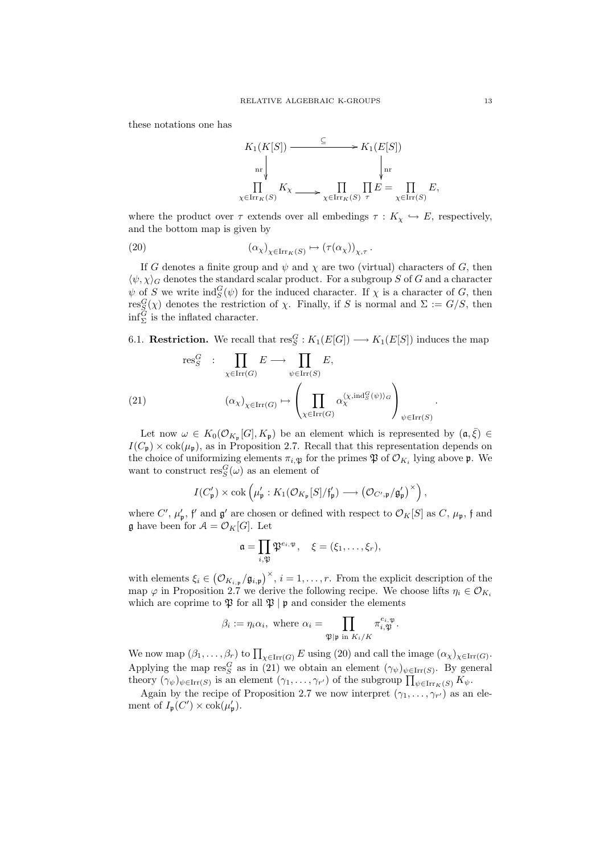these notations one has



where the product over  $\tau$  extends over all embedings  $\tau : K_{\gamma} \hookrightarrow E$ , respectively, and the bottom map is given by

(20) 
$$
(\alpha_{\chi})_{\chi \in \operatorname{Irr}_K(S)} \mapsto (\tau(\alpha_{\chi}))_{\chi, \tau}.
$$

If G denotes a finite group and  $\psi$  and  $\chi$  are two (virtual) characters of G, then  $\langle \psi, \chi \rangle_G$  denotes the standard scalar product. For a subgroup S of G and a character  $\psi$  of S we write  $\text{ind}_{S}^{G}(\psi)$  for the induced character. If  $\chi$  is a character of G, then  $res^G_{S}(\chi)$  denotes the restriction of  $\chi$ . Finally, if S is normal and  $\Sigma := G/S$ , then  $\inf_{\Sigma}$  is the inflated character.

6.1. **Restriction.** We recall that  $\text{res}_S^G : K_1(E[G]) \longrightarrow K_1(E[S])$  induces the map

(21) 
$$
\operatorname{res}_{S}^{G} : \prod_{\chi \in \operatorname{Irr}(G)} E \longrightarrow \prod_{\psi \in \operatorname{Irr}(S)} E,
$$

$$
(\alpha_{\chi})_{\chi \in \operatorname{Irr}(G)} \mapsto \left(\prod_{\chi \in \operatorname{Irr}(G)} \alpha_{\chi}^{\langle \chi, \operatorname{ind}_{S}^{G}(\psi) \rangle_{G}}\right)_{\psi \in \operatorname{Irr}(S)}.
$$

Let now  $\omega \in K_0(\mathcal{O}_{K_{\mathfrak{p}}}[G], K_{\mathfrak{p}})$  be an element which is represented by  $(\mathfrak{a}, \overline{\xi}) \in$  $I(C_p) \times \text{cok}(\mu_p)$ , as in Proposition 2.7. Recall that this representation depends on the choice of uniformizing elements  $\pi_{i,\mathfrak{P}}$  for the primes  $\mathfrak{P}$  of  $\mathcal{O}_{K_i}$  lying above  $\mathfrak{p}$ . We want to construct  $\operatorname{res}^G_S(\omega)$  as an element of

$$
I(C'_{\mathfrak{p}}) \times \mathrm{cok}\left(\mu'_{\mathfrak{p}}: K_1(\mathcal{O}_{K_{\mathfrak{p}}}[S]/\mathfrak{f}'_{\mathfrak{p}}) \longrightarrow \left(\mathcal{O}_{C',\mathfrak{p}}/\mathfrak{g}'_{\mathfrak{p}}\right)^{\times}\right),
$$

where  $C'$ ,  $\mu'_{\mathfrak{p}}$ , f' and  $\mathfrak{g}'$  are chosen or defined with respect to  $\mathcal{O}_K[S]$  as  $C$ ,  $\mu_{\mathfrak{p}}$ , f and **g** have been for  $\mathcal{A} = \mathcal{O}_K[G]$ . Let

$$
\mathfrak{a} = \prod_{i, \mathfrak{P}} \mathfrak{P}^{e_i, \mathfrak{P}}, \quad \xi = (\xi_1, \dots, \xi_r),
$$

with elements  $\xi_i \in (O_{K_{i,p}}/ \mathfrak{g}_{i,p})^{\times}, i = 1, \ldots, r$ . From the explicit description of the map  $\varphi$  in Proposition 2.7 we derive the following recipe. We choose lifts  $\eta_i \in \mathcal{O}_{K_i}$ which are coprime to  $\mathfrak P$  for all  $\mathfrak P \nvert \mathfrak p$  and consider the elements

$$
\beta_i := \eta_i \alpha_i, \text{ where } \alpha_i = \prod_{\mathfrak{P} \mid \mathfrak{p} \text{ in } K_i/K} \pi_{i,\mathfrak{P}}^{e_{i,\mathfrak{P}}}.
$$

We now map  $(\beta_1,\ldots,\beta_r)$  to  $\prod_{\chi \in \text{Irr}(G)} E$  using (20) and call the image  $(\alpha_\chi)_{\chi \in \text{Irr}(G)}$ . Applying the map  $res^G_S$  as in (21) we obtain an element  $(\gamma_{\psi})_{\psi \in \text{Irr}(S)}$ . By general theory  $(\gamma_{\psi})_{\psi \in \text{Irr}(S)}$  is an element  $(\gamma_1, \ldots, \gamma_{r'})$  of the subgroup  $\prod_{\psi \in \text{Irr}_{K}(S)} K_{\psi}$ .

Again by the recipe of Proposition 2.7 we now interpret  $(\gamma_1, \ldots, \gamma_{r'})$  as an element of  $I_{\mathfrak{p}}(C') \times \cosh(\mu_{\mathfrak{p}}').$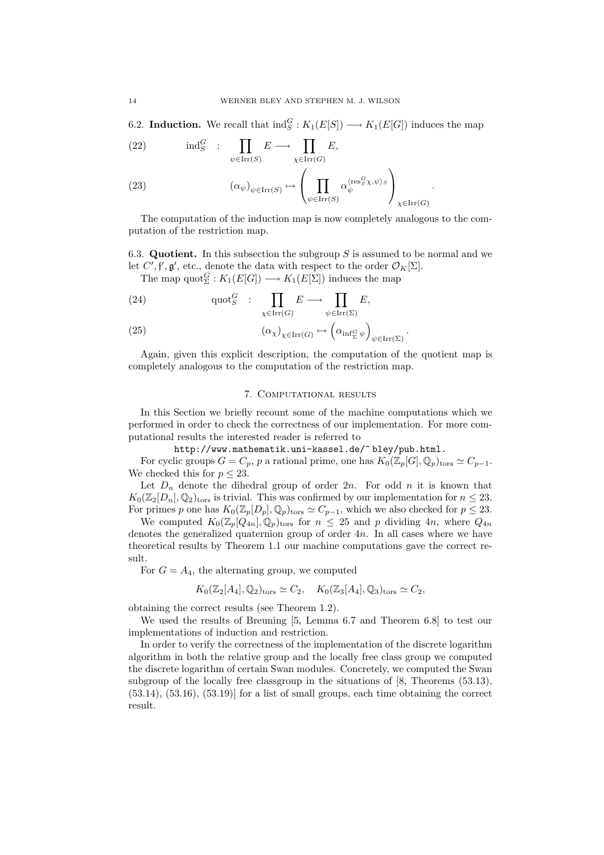6.2. **Induction.** We recall that  $\text{ind}_{S}^{G}: K_1(E[S]) \longrightarrow K_1(E[G])$  induces the map

(22) 
$$
\operatorname{ind}_{S}^{G} : \prod_{\psi \in \operatorname{Irr}(S)} E \longrightarrow \prod_{\chi \in \operatorname{Irr}(G)} E,
$$

(23) 
$$
(\alpha_{\psi})_{\psi \in \text{Irr}(S)} \mapsto \left(\prod_{\psi \in \text{Irr}(S)} \alpha_{\psi}^{\langle \text{res}^G_S \chi, \psi \rangle_S}\right)_{\chi \in \text{Irr}(G)}.
$$

The computation of the induction map is now completely analogous to the computation of the restriction map.

6.3. Quotient. In this subsection the subgroup  $S$  is assumed to be normal and we let  $C', \mathfrak{f}', \mathfrak{g}',$  etc., denote the data with respect to the order  $\mathcal{O}_K[\Sigma]$ .

The map  $\text{quot}_{\Sigma}^G : K_1(E[G]) \longrightarrow K_1(E[\Sigma])$  induces the map

(24) 
$$
\operatorname{quot}_{S}^{G} : \prod_{\chi \in \operatorname{Irr}(G)} E \longrightarrow \prod_{\psi \in \operatorname{Irr}(\Sigma)} E,
$$

(25) 
$$
(\alpha_{\chi})_{\chi \in \text{Irr}(G)} \mapsto (\alpha_{\inf_{\Sigma} \psi})_{\psi \in \text{Irr}(\Sigma)}.
$$

Again, given this explicit description, the computation of the quotient map is completely analogous to the computation of the restriction map.

## 7. Computational results

In this Section we briefly recount some of the machine computations which we performed in order to check the correctness of our implementation. For more computational results the interested reader is referred to

http://www.mathematik.uni-kassel.de/~ bley/pub.html.

For cyclic groups  $G = C_p$ , p a rational prime, one has  $K_0(\mathbb{Z}_p[G], \mathbb{Q}_p)_{\text{tors}} \simeq C_{p-1}$ . We checked this for  $p \leq 23$ .

Let  $D_n$  denote the dihedral group of order 2n. For odd n it is known that  $K_0(\mathbb{Z}_2[D_n], \mathbb{Q}_2)_{\text{tors}}$  is trivial. This was confirmed by our implementation for  $n \leq 23$ . For primes p one has  $K_0(\mathbb{Z}_p[D_p], \mathbb{Q}_p)_{\text{tors}} \simeq C_{p-1}$ , which we also checked for  $p \leq 23$ .

We computed  $K_0(\mathbb{Z}_p[Q_{4n}], \mathbb{Q}_p)_{\text{tors}}$  for  $n \leq 25$  and p dividing  $4n$ , where  $Q_{4n}$ denotes the generalized quaternion group of order 4n. In all cases where we have theoretical results by Theorem 1.1 our machine computations gave the correct result.

For  $G = A_4$ , the alternating group, we computed

$$
K_0(\mathbb{Z}_2[A_4], \mathbb{Q}_2)_{\text{tors}} \simeq C_2, \quad K_0(\mathbb{Z}_3[A_4], \mathbb{Q}_3)_{\text{tors}} \simeq C_2,
$$

obtaining the correct results (see Theorem 1.2).

We used the results of Breuning [5, Lemma 6.7 and Theorem 6.8] to test our implementations of induction and restriction.

In order to verify the correctness of the implementation of the discrete logarithm algorithm in both the relative group and the locally free class group we computed the discrete logarithm of certain Swan modules. Concretely, we computed the Swan subgroup of the locally free classgroup in the situations of [8, Theorems (53.13),  $(53.14)$ ,  $(53.16)$ ,  $(53.19)$ ] for a list of small groups, each time obtaining the correct result.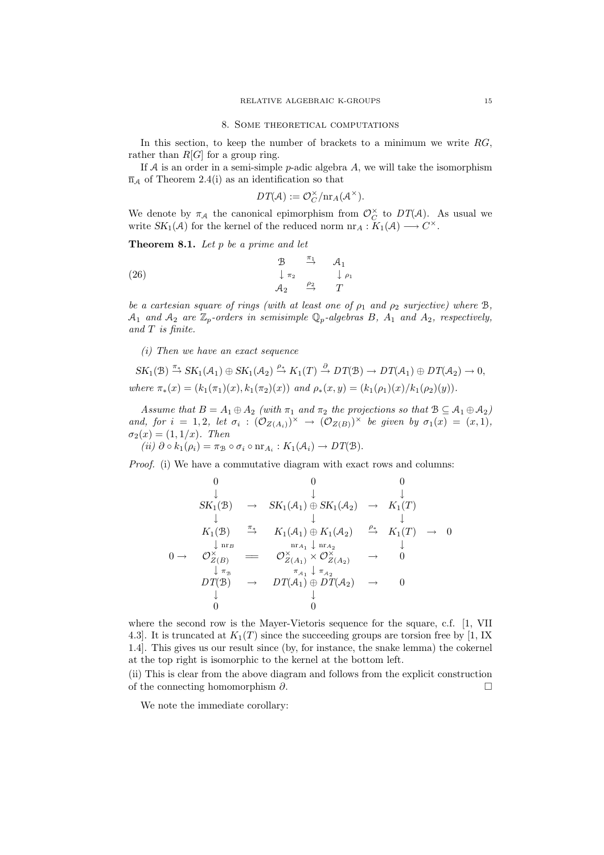In this section, to keep the number of brackets to a minimum we write  $RG$ , rather than  $R[G]$  for a group ring.

If A is an order in a semi-simple p-adic algebra  $A$ , we will take the isomorphism  $\overline{n}_A$  of Theorem 2.4(i) as an identification so that

$$
DT(\mathcal{A}) := \mathcal{O}_C^{\times}/\mathrm{nr}_A(\mathcal{A}^{\times}).
$$

We denote by  $\pi_A$  the canonical epimorphism from  $\mathcal{O}_C^{\times}$  to  $DT(\mathcal{A})$ . As usual we write  $SK_1(\mathcal{A})$  for the kernel of the reduced norm  $nr_A: K_1(\mathcal{A}) \longrightarrow C^{\times}$ .

**Theorem 8.1.** Let  $p$  be a prime and let

(26) 
$$
\begin{array}{cccc}\n & \mathcal{B} & \xrightarrow{\pi_1} & \mathcal{A}_1 \\
 & \downarrow \pi_2 & & \downarrow \rho_1 \\
 & \mathcal{A}_2 & \xrightarrow{\rho_2} & T\n\end{array}
$$

be a cartesian square of rings (with at least one of  $\rho_1$  and  $\rho_2$  surjective) where  $\mathcal{B}$ ,  $A_1$  and  $A_2$  are  $\mathbb{Z}_p$ -orders in semisimple  $\mathbb{Q}_p$ -algebras B,  $A_1$  and  $A_2$ , respectively, and T is finite.

 $(i)$  Then we have an exact sequence

$$
SK_1(\mathcal{B}) \xrightarrow{\pi_{\pm}} SK_1(\mathcal{A}_1) \oplus SK_1(\mathcal{A}_2) \xrightarrow{\rho_{\pm}} K_1(T) \xrightarrow{\partial} DT(\mathcal{B}) \to DT(\mathcal{A}_1) \oplus DT(\mathcal{A}_2) \to 0,
$$
  
where  $\pi_*(x) = (k_1(\pi_1)(x), k_1(\pi_2)(x))$  and  $\rho_*(x, y) = (k_1(\rho_1)(x)/k_1(\rho_2)(y)).$ 

Assume that  $B = A_1 \oplus A_2$  (with  $\pi_1$  and  $\pi_2$  the projections so that  $B \subseteq A_1 \oplus A_2$ ) and, for  $i = 1, 2$ , let  $\sigma_i : (\mathcal{O}_{Z(A_i)})^{\times} \to (\mathcal{O}_{Z(B)})^{\times}$  be given by  $\sigma_1(x) = (x, 1)$ ,  $\sigma_2(x) = (1, 1/x)$ . Then

(ii)  $\partial \circ k_1(\rho_i) = \pi_{\mathcal{B}} \circ \sigma_i \circ \text{nr}_{A_i} : K_1(\mathcal{A}_i) \to DT(\mathcal{B}).$ 

Proof. (i) We have a commutative diagram with exact rows and columns:

$$
\begin{array}{ccccccc}\n0 & 0 & 0 & 0 \\
\downarrow & \downarrow & \downarrow & \downarrow \\
SK_1(\mathcal{B}) & \to & SK_1(\mathcal{A}_1) \oplus SK_1(\mathcal{A}_2) & \to & K_1(T) \\
\downarrow & & \downarrow & & \downarrow \\
K_1(\mathcal{B}) & \stackrel{\pi_{*}}{\to} & K_1(\mathcal{A}_1) \oplus K_1(\mathcal{A}_2) & \stackrel{\rho_{*}}{\to} & K_1(T) & \to & 0 \\
\downarrow_{nr_B} & & & & \downarrow_{nr_{A_2}} & \downarrow \\
0 & \to & \mathcal{O}_{Z(B)}^{\times} & \rightleftharpoons & \mathcal{O}_{Z(A_1)}^{\times} \times \mathcal{O}_{Z(A_2)}^{\times} & \to & 0 \\
\downarrow_{\pi_{B}} & & & & \downarrow_{\pi_{A_1}} & \downarrow_{\pi_{A_2}} & \downarrow \\
DT(\mathcal{B}) & \to & DT(\mathcal{A}_1) \oplus DT(\mathcal{A}_2) & \to & 0 \\
\downarrow & & \downarrow & & \downarrow \\
0 & & 0 & & 0\n\end{array}
$$

where the second row is the Mayer-Vietoris sequence for the square, c.f. [1, VII 4.3. It is truncated at  $K_1(T)$  since the succeeding groups are torsion free by [1, IX 1.4]. This gives us our result since (by, for instance, the snake lemma) the cokernel at the top right is isomorphic to the kernel at the bottom left.

(ii) This is clear from the above diagram and follows from the explicit construction of the connecting homomorphism ∂.  $\Box$ 

We note the immediate corollary: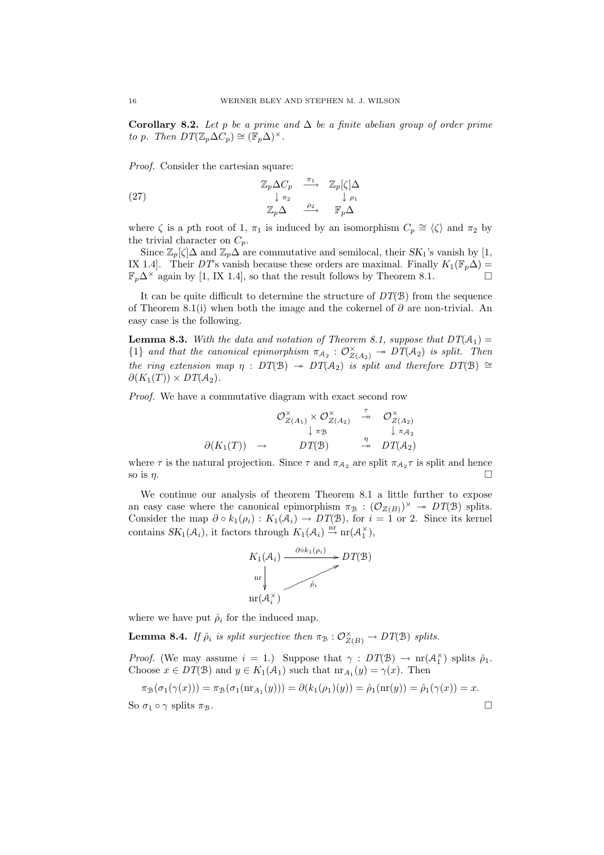Corollary 8.2. Let p be a prime and  $\Delta$  be a finite abelian group of order prime to p. Then  $DT(\mathbb{Z}_p \Delta C_p) \cong (\mathbb{F}_p \Delta)^{\times}$ .

Proof. Consider the cartesian square:

(27) 
$$
\begin{array}{ccc}\n\mathbb{Z}_p \Delta C_p & \xrightarrow{\pi_1} & \mathbb{Z}_p[\zeta] \Delta \\
\downarrow \pi_2 & & \downarrow \rho_1 \\
\mathbb{Z}_p \Delta & \xrightarrow{\rho_2} & \mathbb{F}_p \Delta\n\end{array}
$$

where  $\zeta$  is a pth root of 1,  $\pi_1$  is induced by an isomorphism  $C_p \cong \langle \zeta \rangle$  and  $\pi_2$  by the trivial character on  $C_p$ .

Since  $\mathbb{Z}_p[\zeta]\Delta$  and  $\mathbb{Z}_p\Delta$  are commutative and semilocal, their  $SK_1$ 's vanish by [1, IX 1.4]. Their DT's vanish because these orders are maximal. Finally  $K_1(\mathbb{F}_p \Delta)$  =  $\mathbb{F}_p\Delta^{\times}$  again by [1, IX 1.4], so that the result follows by Theorem 8.1.

It can be quite difficult to determine the structure of  $DT(\mathcal{B})$  from the sequence of Theorem 8.1(i) when both the image and the cokernel of  $\partial$  are non-trivial. An easy case is the following.

**Lemma 8.3.** With the data and notation of Theorem 8.1, suppose that  $DT(A_1)$  ${1}$  and that the canonical epimorphism  $\pi_{A_2}: \mathcal{O}_{Z(A_2)}^{\times} \twoheadrightarrow DT(A_2)$  is split. Then the ring extension map  $\eta : DT(B) \rightarrow DT(A_2)$  is split and therefore  $DT(B) \cong$  $\partial (K_1(T)) \times DT(A_2)$ .

Proof. We have a commutative diagram with exact second row

$$
\mathcal{O}_{Z(A_1)}^{\times} \times \mathcal{O}_{Z(A_2)}^{\times} \xrightarrow{\tau} \mathcal{O}_{Z(A_2)}^{\times}
$$
  
\n
$$
\downarrow \pi_{\mathcal{B}} \qquad \qquad \downarrow \pi_{A_2}
$$
  
\n
$$
\partial(K_1(T)) \rightarrow DT(\mathcal{B}) \xrightarrow{\eta} DT(A_2)
$$

where  $\tau$  is the natural projection. Since  $\tau$  and  $\pi_{A_2}$  are split  $\pi_{A_2}\tau$  is split and hence so is  $\eta$ .

We continue our analysis of theorem Theorem 8.1 a little further to expose an easy case where the canonical epimorphism  $\pi_{\mathcal{B}} : (\mathcal{O}_{Z(B)})^{\times} \to DT(\mathcal{B})$  splits. Consider the map  $\partial \circ k_1(\rho_i) : K_1(\mathcal{A}_i) \to DT(\mathcal{B})$ , for  $i = 1$  or 2. Since its kernel contains  $SK_1(\mathcal{A}_i)$ , it factors through  $K_1(\mathcal{A}_i) \stackrel{\text{nr}}{\rightarrow} \text{nr}(\mathcal{A}_1^{\times}),$ 



where we have put  $\hat{\rho}_i$  for the induced map.

**Lemma 8.4.** If  $\hat{\rho}_i$  is split surjective then  $\pi_B : \mathcal{O}_{Z(B)}^{\times} \to DT(B)$  splits.

*Proof.* (We may assume  $i = 1$ .) Suppose that  $\gamma : DT(\mathcal{B}) \to \text{nr}(\mathcal{A}_1^{\times})$  splits  $\hat{\rho}_1$ . Choose  $x \in DT(\mathcal{B})$  and  $y \in K_1(\mathcal{A}_1)$  such that  $\operatorname{nr}_{A_1}(y) = \gamma(x)$ . Then

$$
\pi_{\mathcal{B}}(\sigma_1(\gamma(x))) = \pi_{\mathcal{B}}(\sigma_1(\text{nr}_{A_1}(y))) = \partial(k_1(\rho_1)(y)) = \hat{\rho}_1(\text{nr}(y)) = \hat{\rho}_1(\gamma(x)) = x.
$$
  
So  $\sigma_1 \circ \gamma$  splits  $\pi_{\mathcal{B}}$ .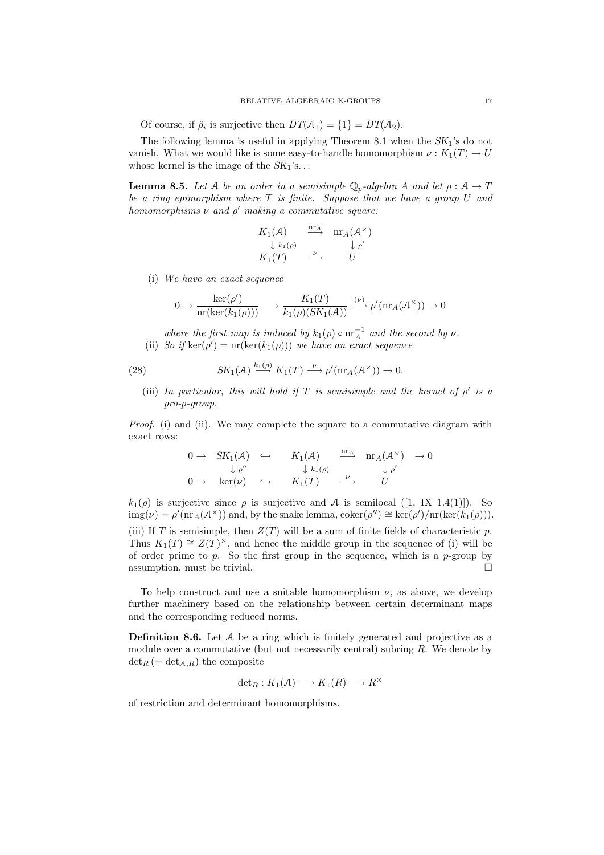Of course, if  $\hat{\rho}_i$  is surjective then  $DT(\mathcal{A}_1) = \{1\} = DT(\mathcal{A}_2)$ .

The following lemma is useful in applying Theorem 8.1 when the  $SK_1$ 's do not vanish. What we would like is some easy-to-handle homomorphism  $\nu : K_1(T) \to U$ whose kernel is the image of the  $SK_1$ 's...

**Lemma 8.5.** Let A be an order in a semisimple  $\mathbb{Q}_p$ -algebra A and let  $\rho : A \to T$ be a ring epimorphism where  $T$  is finite. Suppose that we have a group  $U$  and homomorphisms  $\nu$  and  $\rho'$  making a commutative square:

$$
K_1(\mathcal{A}) \xrightarrow{\text{nr}_A} \text{nr}_A(\mathcal{A}^{\times})
$$
  
\n
$$
\downarrow k_1(\rho) \xrightarrow{\nu} \downarrow \rho'
$$
  
\n
$$
K_1(T) \xrightarrow{\nu} U
$$

(i) We have an exact sequence

$$
0 \to \frac{\ker(\rho')}{\mathrm{nr}(\ker(k_1(\rho)))} \longrightarrow \frac{K_1(T)}{k_1(\rho)(SK_1(\mathcal{A}))} \xrightarrow{(\nu)} \rho'(\mathrm{nr}_\mathcal{A}(\mathcal{A}^\times)) \to 0
$$

where the first map is induced by  $k_1(\rho) \circ \text{nr}_A^{-1}$  and the second by  $\nu$ . (ii) So if  $\ker(\rho') = \text{nr}(\ker(k_1(\rho)))$  we have an exact sequence

(28) 
$$
SK_1(\mathcal{A}) \xrightarrow{k_1(\rho)} K_1(T) \xrightarrow{\nu} \rho'(\text{nr}_A(\mathcal{A}^{\times})) \to 0.
$$

(iii) In particular, this will hold if T is semisimple and the kernel of  $\rho'$  is a pro-p-group.

Proof. (i) and (ii). We may complete the square to a commutative diagram with exact rows:

$$
\begin{array}{ccccccc}\n0 \to & SK_1(\mathcal{A}) & \hookrightarrow & K_1(\mathcal{A}) & \xrightarrow{\text{nr}_{\mathcal{A}}} & \text{nr}_{\mathcal{A}}(\mathcal{A}^{\times}) & \to 0 \\
& & \downarrow \rho^{\prime\prime} & & \downarrow k_1(\rho) & & \downarrow \rho^{\prime} \\
0 \to & \text{ker}(\nu) & \hookrightarrow & K_1(T) & \xrightarrow{\nu} & U\n\end{array}
$$

 $k_1(\rho)$  is surjective since  $\rho$  is surjective and A is semilocal ([1, IX 1.4(1)]). So  $\text{img}(\nu) = \rho'(\text{nr}_A(\mathcal{A}^{\times}))$  and, by the snake lemma,  $\text{coker}(\rho'') \cong \text{ker}(\rho')/\text{nr}(\text{ker}(k_1(\rho))).$ (iii) If T is semisimple, then  $Z(T)$  will be a sum of finite fields of characteristic p. Thus  $K_1(T) \cong Z(T)^{\times}$ , and hence the middle group in the sequence of (i) will be of order prime to p. So the first group in the sequence, which is a p-group by assumption, must be trivial.  $\Box$ 

To help construct and use a suitable homomorphism  $\nu$ , as above, we develop further machinery based on the relationship between certain determinant maps and the corresponding reduced norms.

**Definition 8.6.** Let  $A$  be a ring which is finitely generated and projective as a module over a commutative (but not necessarily central) subring  $R$ . We denote by  $\det_R (=\det_{A,R})$  the composite

$$
\det_R: K_1(\mathcal{A}) \longrightarrow K_1(R) \longrightarrow R^{\times}
$$

of restriction and determinant homomorphisms.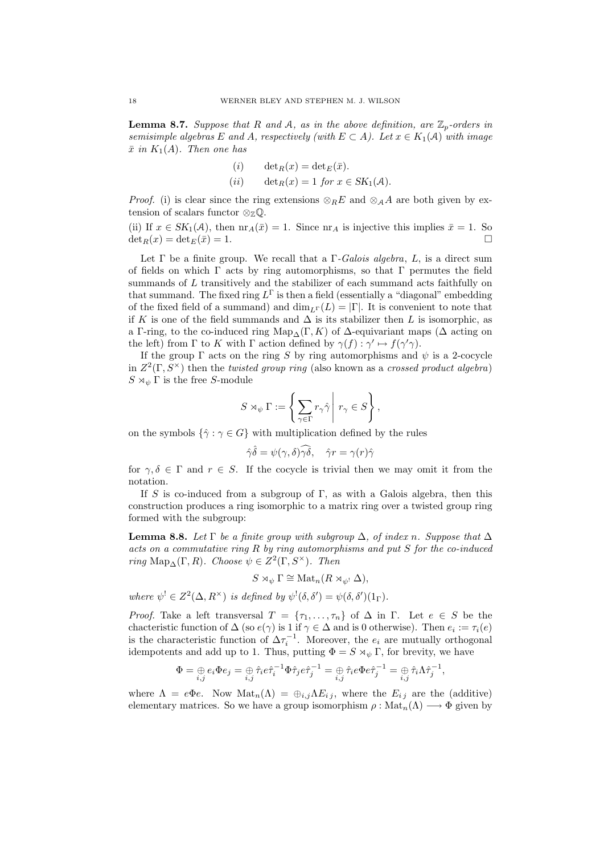**Lemma 8.7.** Suppose that R and A, as in the above definition, are  $\mathbb{Z}_p$ -orders in semisimple algebras E and A, respectively (with  $E \subset A$ ). Let  $x \in K_1(\mathcal{A})$  with image  $\bar{x}$  in  $K_1(A)$ . Then one has

(i) 
$$
\det_R(x) = \det_E(\bar{x}).
$$
  
(ii)  $\det_R(x) = 1 \text{ for } x \in SK_1(\mathcal{A}).$ 

*Proof.* (i) is clear since the ring extensions  $\otimes_R E$  and  $\otimes_A A$  are both given by extension of scalars functor  $\otimes_{\mathbb{Z}} \mathbb{Q}$ .

(ii) If  $x \in SK_1(\mathcal{A})$ , then  $\text{nr}_A(\bar{x}) = 1$ . Since  $\text{nr}_A$  is injective this implies  $\bar{x} = 1$ . So  $\det_B(x) = \det_E(\bar{x}) = 1.$ 

Let  $\Gamma$  be a finite group. We recall that a  $\Gamma$ -Galois algebra, L, is a direct sum of fields on which  $\Gamma$  acts by ring automorphisms, so that  $\Gamma$  permutes the field summands of  $L$  transitively and the stabilizer of each summand acts faithfully on that summand. The fixed ring  $L^{\Gamma}$  is then a field (essentially a "diagonal" embedding of the fixed field of a summand) and  $\dim_{L}(\mathcal{L}) = |\Gamma|$ . It is convenient to note that if K is one of the field summands and  $\Delta$  is its stabilizer then L is isomorphic, as a Γ-ring, to the co-induced ring Map<sub>∆</sub>(Γ, K) of  $\Delta$ -equivariant maps ( $\Delta$  acting on the left) from  $\Gamma$  to K with  $\Gamma$  action defined by  $\gamma(f) : \gamma' \mapsto f(\gamma'\gamma)$ .

If the group  $\Gamma$  acts on the ring S by ring automorphisms and  $\psi$  is a 2-cocycle in  $Z^2(\Gamma, S^{\times})$  then the *twisted group ring* (also known as a *crossed product algebra*)  $S \rtimes_{\psi} \Gamma$  is the free S-module

$$
S \rtimes_{\psi} \Gamma := \left\{ \sum_{\gamma \in \Gamma} r_{\gamma} \hat{\gamma} \mid r_{\gamma} \in S \right\},\
$$

on the symbols  $\{\hat{\gamma} : \gamma \in G\}$  with multiplication defined by the rules

$$
\hat{\gamma}\hat{\delta} = \psi(\gamma, \delta)\widehat{\gamma\delta}, \quad \hat{\gamma}r = \gamma(r)\hat{\gamma}
$$

for  $\gamma, \delta \in \Gamma$  and  $r \in S$ . If the cocycle is trivial then we may omit it from the notation.

If S is co-induced from a subgroup of  $\Gamma$ , as with a Galois algebra, then this construction produces a ring isomorphic to a matrix ring over a twisted group ring formed with the subgroup:

**Lemma 8.8.** Let  $\Gamma$  be a finite group with subgroup  $\Delta$ , of index n. Suppose that  $\Delta$ acts on a commutative ring R by ring automorphisms and put S for the co-induced ring Map<sub>∆</sub>(Γ, R). Choose  $\psi \in Z^2(\Gamma, S^{\times})$ . Then

$$
S \rtimes_{\psi} \Gamma \cong \text{Mat}_n(R \rtimes_{\psi} \Delta),
$$

where  $\psi^! \in Z^2(\Delta, R^\times)$  is defined by  $\psi^! (\delta, \delta') = \psi(\delta, \delta')(1_\Gamma)$ .

*Proof.* Take a left transversal  $T = \{\tau_1, \ldots, \tau_n\}$  of  $\Delta$  in  $\Gamma$ . Let  $e \in S$  be the chacteristic function of  $\Delta$  (so  $e(\gamma)$  is 1 if  $\gamma \in \Delta$  and is 0 otherwise). Then  $e_i := \tau_i(e)$ is the characteristic function of  $\Delta \tau_i^{-1}$ . Moreover, the  $e_i$  are mutually orthogonal idempotents and add up to 1. Thus, putting  $\Phi = S \rtimes_{\psi} \Gamma$ , for brevity, we have

$$
\Phi = \bigoplus_{i,j} e_i \Phi e_j = \bigoplus_{i,j} \hat{\tau}_i e \hat{\tau}_i^{-1} \Phi \hat{\tau}_j e \hat{\tau}_j^{-1} = \bigoplus_{i,j} \hat{\tau}_i e \Phi e \hat{\tau}_j^{-1} = \bigoplus_{i,j} \hat{\tau}_i \Lambda \hat{\tau}_j^{-1},
$$

where  $\Lambda = e\Phi e$ . Now  $\text{Mat}_n(\Lambda) = \bigoplus_{i,j} \Lambda E_{i,j}$ , where the  $E_{i,j}$  are the (additive) elementary matrices. So we have a group isomorphism  $\rho : \text{Mat}_n(\Lambda) \longrightarrow \Phi$  given by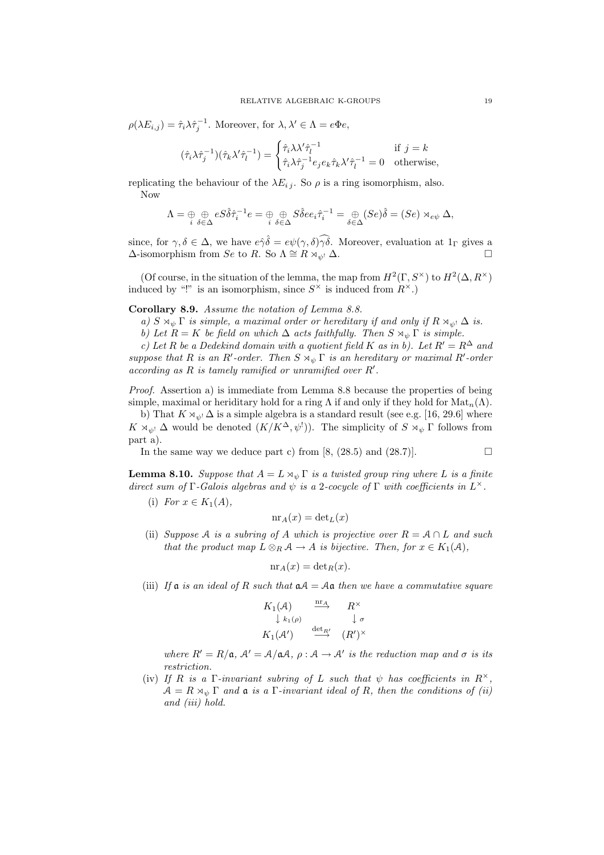$\rho(\lambda E_{i,j}) = \hat{\tau}_i \lambda \hat{\tau}_j^{-1}$ . Moreover, for  $\lambda, \lambda' \in \Lambda = e \Phi e$ ,

$$
(\hat{\tau}_i \lambda \hat{\tau}_j^{-1})(\hat{\tau}_k \lambda' \hat{\tau}_l^{-1}) = \begin{cases} \hat{\tau}_i \lambda \lambda' \hat{\tau}_l^{-1} & \text{if } j = k \\ \hat{\tau}_i \lambda \hat{\tau}_j^{-1} e_j e_k \hat{\tau}_k \lambda' \hat{\tau}_l^{-1} = 0 & \text{otherwise,} \end{cases}
$$

replicating the behaviour of the  $\lambda E_{ij}$ . So  $\rho$  is a ring isomorphism, also. Now

$$
\Lambda = \bigoplus_{i} \bigoplus_{\delta \in \Delta} eS\hat{\delta}\hat{\tau}_i^{-1}e = \bigoplus_{i} \bigoplus_{\delta \in \Delta} S\hat{\delta}ee_i\hat{\tau}_i^{-1} = \bigoplus_{\delta \in \Delta} (Se)\hat{\delta} = (Se) \rtimes_{e\psi} \Delta,
$$

since, for  $\gamma, \delta \in \Delta$ , we have  $e\hat{\gamma}\hat{\delta} = e\psi(\gamma, \delta)\hat{\gamma}\hat{\delta}$ . Moreover, evaluation at  $1_{\Gamma}$  gives a  $\Delta$ -isomorphism from Se to R. So  $\Lambda \cong R \rtimes_{\psi} \Delta$ .

(Of course, in the situation of the lemma, the map from  $H^2(\Gamma, S^\times)$  to  $H^2(\Delta, R^\times)$ ) induced by "!" is an isomorphism, since  $S^{\times}$  is induced from  $R^{\times}$ .)

# Corollary 8.9. Assume the notation of Lemma 8.8.

a)  $S \rtimes_{\psi} \Gamma$  is simple, a maximal order or hereditary if and only if  $R \rtimes_{\psi} \Delta$  is.

b) Let  $R = K$  be field on which  $\Delta$  acts faithfully. Then  $S \rtimes_{\psi} \Gamma$  is simple.

c) Let R be a Dedekind domain with a quotient field K as in b). Let  $R' = R^{\Delta}$  and suppose that R is an R'-order. Then  $S \rtimes_{\psi} \Gamma$  is an hereditary or maximal R'-order according as  $R$  is tamely ramified or unramified over  $R'$ .

Proof. Assertion a) is immediate from Lemma 8.8 because the properties of being simple, maximal or heriditary hold for a ring  $\Lambda$  if and only if they hold for  $\text{Mat}_n(\Lambda)$ .

b) That  $K \rtimes_{\psi} \Delta$  is a simple algebra is a standard result (see e.g. [16, 29.6] where  $K \rtimes_{\psi} \Delta$  would be denoted  $(K/K^{\Delta}, \psi')$ ). The simplicity of  $S \rtimes_{\psi} \Gamma$  follows from part a).

In the same way we deduce part c) from  $[8, (28.5)$  and  $(28.7)]$ .

$$
\qquad \qquad \Box
$$

**Lemma 8.10.** Suppose that  $A = L \rtimes_{\psi} \Gamma$  is a twisted group ring where L is a finite direct sum of  $\Gamma$ -Galois algebras and  $\psi$  is a 2-cocycle of  $\Gamma$  with coefficients in  $L^{\times}$ .

(i) For  $x \in K_1(A)$ ,

$$
\mathrm{nr}_A(x) = \det_L(x)
$$

(ii) Suppose A is a subring of A which is projective over  $R = A \cap L$  and such that the product map  $L \otimes_R \mathcal{A} \to A$  is bijective. Then, for  $x \in K_1(\mathcal{A})$ ,

$$
\mathrm{nr}_A(x) = \det_R(x).
$$

(iii) If  $\alpha$  is an ideal of R such that  $\alpha A = A\alpha$  then we have a commutative square

$$
K_1(\mathcal{A}) \xrightarrow{\text{nr}_A} R^{\times}
$$
  
\n
$$
\downarrow k_1(\mathcal{A}) \xrightarrow{\text{det}_R} (\mathcal{R}')^{\times}
$$
  
\n
$$
K_1(\mathcal{A}') \xrightarrow{\text{det}_R} (\mathcal{R}')^{\times}
$$

where  $R' = R/\mathfrak{a}, A' = A/\mathfrak{a}A, \rho : A \to A'$  is the reduction map and  $\sigma$  is its restriction.

(iv) If R is a  $\Gamma$ -invariant subring of L such that  $\psi$  has coefficients in  $R^{\times}$ ,  $A = R \rtimes_{\psi} \Gamma$  and  $\mathfrak a$  is a  $\Gamma$ -invariant ideal of R, then the conditions of (ii) and (iii) hold.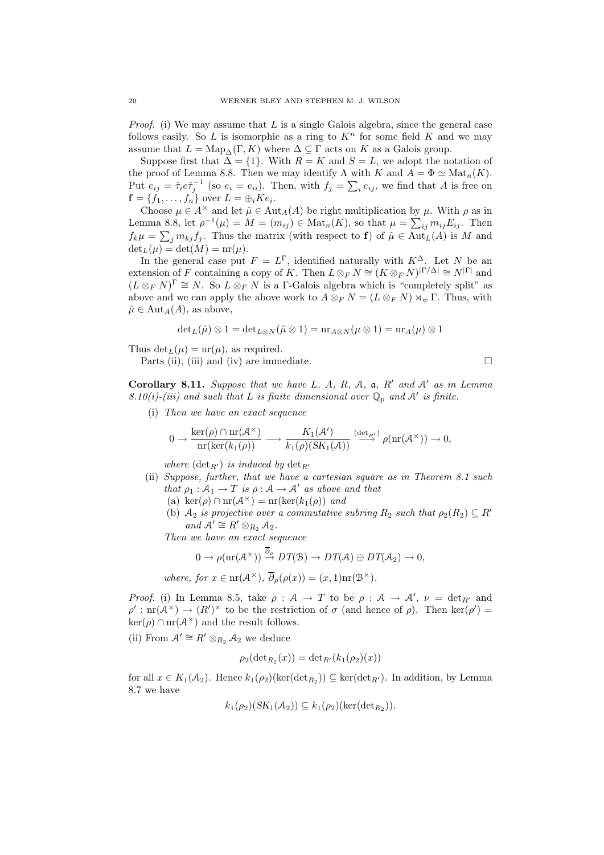*Proof.* (i) We may assume that  $L$  is a single Galois algebra, since the general case follows easily. So  $L$  is isomorphic as a ring to  $K<sup>n</sup>$  for some field  $K$  and we may assume that  $L = \text{Map}_{\Delta}(\Gamma, K)$  where  $\Delta \subseteq \Gamma$  acts on K as a Galois group.

Suppose first that  $\Delta = \{1\}$ . With  $R = K$  and  $S = L$ , we adopt the notation of the proof of Lemma 8.8. Then we may identify  $\Lambda$  with  $K$  and  $A = \Phi \simeq \text{Mat}_n(K)$ . Put  $e_{ij} = \hat{\tau}_i e \hat{\tau}_j^{-1}$  (so  $e_i = e_{ii}$ ). Then, with  $f_j = \sum_i e_{ij}$ , we find that A is free on  $f = \{f_1, \ldots, f_n\}$  over  $L = \bigoplus_i Ke_i$ .

Choose  $\mu \in A^{\times}$  and let  $\hat{\mu} \in Aut_A(A)$  be right multiplication by  $\mu$ . With  $\rho$  as in Lemma 8.8, let  $\rho^{-1}(\mu) = M = (m_{ij}) \in \text{Mat}_n(K)$ , so that  $\mu = \sum_{ij} m_{ij} E_{ij}$ . Then  $f_k\mu = \sum_j m_{kj}f_j$ . Thus the matrix (with respect to **f**) of  $\hat{\mu} \in Aut_L(A)$  is M and  $\det_L(\mu) = \det(M) = \text{nr}(\mu).$ 

In the general case put  $F = L^{\Gamma}$ , identified naturally with  $K^{\Delta}$ . Let N be an extension of F containing a copy of K. Then  $L \otimes_F N \cong (K \otimes_F N)^{|\Gamma/\Delta|} \cong N^{|\Gamma|}$  and  $(L \otimes_F N)^{\Gamma} \cong N$ . So  $L \otimes_F N$  is a  $\Gamma$ -Galois algebra which is "completely split" as above and we can apply the above work to  $A \otimes_F N = (L \otimes_F N) \rtimes_{\psi} \Gamma$ . Thus, with  $\hat{\mu} \in Aut_A(A)$ , as above,

$$
\det_L(\hat{\mu}) \otimes 1 = \det_{L \otimes N}(\hat{\mu} \otimes 1) = \mathrm{nr}_{A \otimes N}(\mu \otimes 1) = \mathrm{nr}_A(\mu) \otimes 1
$$

Thus  $\det_L(\mu) = \text{nr}(\mu)$ , as required.

Parts (ii), (iii) and (iv) are immediate.  $\Box$ 

Corollary 8.11. Suppose that we have L, A, R, A, a, R' and A' as in Lemma 8.10(i)-(iii) and such that L is finite dimensional over  $\mathbb{Q}_p$  and A' is finite.

(i) Then we have an exact sequence

$$
0 \to \frac{\ker(\rho) \cap \mathrm{nr}(\mathcal{A}^{\times})}{\mathrm{nr}(\ker(k_1(\rho)))} \longrightarrow \frac{K_1(\mathcal{A}')}{k_1(\rho)(SK_1(\mathcal{A}))} \stackrel{(\det_{R'})}{\longrightarrow} \rho(\mathrm{nr}(\mathcal{A}^{\times})) \to 0,
$$

where  $(\det_{B_1})$  is induced by  $\det_{B_1}$ 

- (ii) Suppose, further, that we have a cartesian square as in Theorem 8.1 such that  $\rho_1 : A_1 \to T$  is  $\rho : A \to A'$  as above and that
	- (a) ker $(\rho) \cap \text{nr}(\mathcal{A}^{\times}) = \text{nr}(\text{ker}(k_1(\rho))$  and
	- (b)  $A_2$  is projective over a commutative subring  $R_2$  such that  $\rho_2(R_2) \subseteq R'$ and  $\mathcal{A}' \cong R' \otimes_{R_2} \mathcal{A}_2$ .

Then we have an exact sequence

$$
0 \to \rho(\mathrm{nr}(\mathcal{A}^{\times})) \stackrel{\partial_{\rho}}{\to} DT(\mathcal{B}) \to DT(\mathcal{A}) \oplus DT(\mathcal{A}_2) \to 0,
$$

where, for 
$$
x \in \text{nr}(\mathcal{A}^{\times}), \overline{\partial}_{\rho}(\rho(x)) = (x, 1)\text{nr}(\mathcal{B}^{\times}).
$$

*Proof.* (i) In Lemma 8.5, take  $\rho : A \to T$  to be  $\rho : A \to A', \nu = \det_{R'}$  and  $\rho' : \text{nr}(\mathcal{A}^{\times}) \to (R')^{\times}$  to be the restriction of  $\sigma$  (and hence of  $\rho$ ). Then ker $(\rho') =$  $\ker(\rho) \cap \mathrm{nr}(\mathcal{A}^{\times})$  and the result follows.

(ii) From  $A' \cong R' \otimes_{R_2} A_2$  we deduce

$$
\rho_2(\det_{R_2}(x)) = \det_{R'}(k_1(\rho_2)(x))
$$

for all  $x \in K_1(\mathcal{A}_2)$ . Hence  $k_1(\rho_2)(\ker(\det_{R_2})) \subseteq \ker(\det_{R'})$ . In addition, by Lemma 8.7 we have

$$
k_1(\rho_2)(SK_1(\mathcal{A}_2)) \subseteq k_1(\rho_2)(\ker(\det R_2)).
$$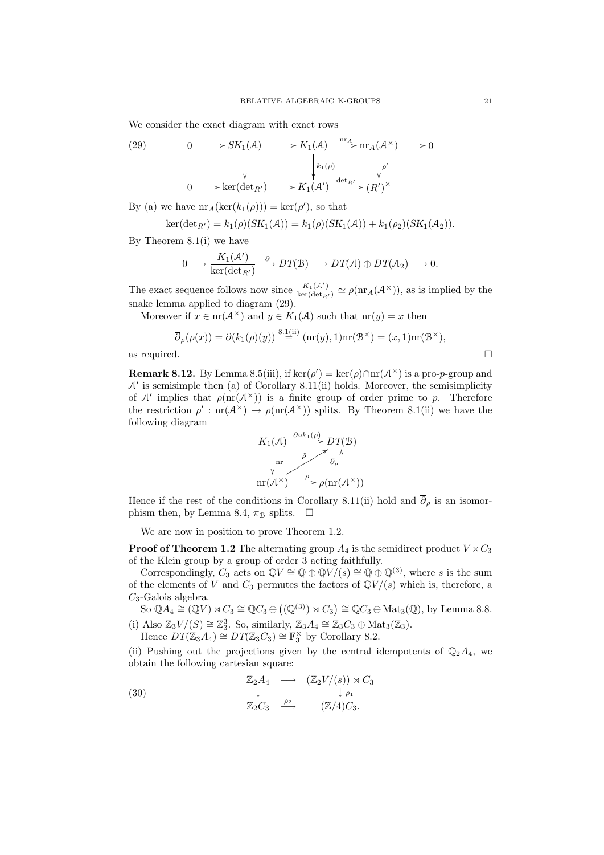We consider the exact diagram with exact rows

(29) 
$$
0 \longrightarrow SK_1(\mathcal{A}) \longrightarrow K_1(\mathcal{A}) \xrightarrow{\text{nr}_{\mathcal{A}}} \text{nr}_{\mathcal{A}}(\mathcal{A}^{\times}) \longrightarrow 0
$$

$$
\downarrow \qquad \qquad \downarrow \qquad \qquad \downarrow \qquad \qquad \downarrow \qquad \qquad \downarrow \qquad \qquad \downarrow \qquad \qquad \downarrow \qquad \qquad \downarrow \qquad \qquad \downarrow \qquad \qquad \downarrow \qquad \qquad \downarrow \qquad \qquad \downarrow \qquad \qquad \downarrow \qquad \qquad \downarrow \qquad \qquad \downarrow \qquad \qquad \downarrow \qquad \qquad \downarrow \qquad \qquad \downarrow \qquad \qquad \downarrow \qquad \qquad \downarrow \qquad \qquad \downarrow \qquad \qquad \downarrow \qquad \qquad \downarrow \qquad \qquad \downarrow \qquad \downarrow \qquad \qquad \downarrow \qquad \downarrow \qquad \downarrow \qquad \qquad \downarrow \qquad \downarrow \qquad \qquad \downarrow \qquad \downarrow \qquad \downarrow \qquad \downarrow \qquad \qquad \downarrow \qquad \downarrow \qquad \downarrow \qquad \downarrow \qquad \qquad \downarrow \qquad \downarrow \qquad \downarrow \qquad \downarrow \qquad \downarrow \qquad \downarrow \qquad \downarrow \qquad \downarrow \qquad \downarrow \qquad \downarrow \qquad \downarrow \qquad \downarrow \qquad \downarrow \qquad \downarrow \qquad \downarrow \qquad \downarrow \qquad \downarrow \qquad \downarrow \qquad \downarrow \qquad \downarrow \qquad \downarrow \qquad \downarrow \qquad \downarrow \qquad \downarrow \qquad \downarrow \qquad \downarrow \qquad \downarrow \qquad \downarrow \qquad \downarrow \qquad \downarrow \qquad \downarrow \qquad \downarrow \qquad \downarrow \qquad \downarrow \qquad \downarrow \qquad \downarrow \qquad \downarrow \qquad \downarrow \qquad \downarrow \qquad \downarrow \qquad \downarrow \qquad \downarrow \qquad \downarrow \qquad \downarrow \qquad \downarrow \qquad \downarrow \qquad \downarrow \qquad \downarrow \qquad \downarrow \qquad \downarrow \qquad \downarrow \qquad \downarrow \qquad \downarrow \qquad \downarrow \qquad \downarrow \qquad \downarrow \qquad \downarrow \qquad \downarrow \qquad \downarrow \qquad \downarrow \qquad \downarrow \qquad \downarrow \qquad \down
$$

By (a) we have  $\mathrm{nr}_A(\mathrm{ker}(k_1(\rho))) = \mathrm{ker}(\rho')$ , so that

$$
ker(det_{R'}) = k_1(\rho)(SK_1(\mathcal{A})) = k_1(\rho)(SK_1(\mathcal{A})) + k_1(\rho_2)(SK_1(\mathcal{A}_2)).
$$

By Theorem 8.1(i) we have

$$
0 \longrightarrow \frac{K_1(\mathcal{A}')}{\ker(\det_{R'})} \stackrel{\partial}{\longrightarrow} DT(\mathcal{B}) \longrightarrow DT(\mathcal{A}) \oplus DT(\mathcal{A}_2) \longrightarrow 0.
$$

The exact sequence follows now since  $\frac{K_1(\mathcal{A}')}{\ker(\det_{R'})} \simeq \rho(\text{nr}_A(\mathcal{A}^{\times}))$ , as is implied by the snake lemma applied to diagram (29).

Moreover if  $x \in \text{nr}(\mathcal{A}^{\times})$  and  $y \in K_1(\mathcal{A})$  such that  $\text{nr}(y) = x$  then

$$
\overline{\partial}_{\rho}(\rho(x)) = \partial(k_1(\rho)(y)) \stackrel{8.1(ii)}{=} (\text{nr}(y), 1)\text{nr}(\mathcal{B}^{\times}) = (x, 1)\text{nr}(\mathcal{B}^{\times}),
$$
 as required.

**Remark 8.12.** By Lemma 8.5(iii), if  $\ker(\rho') = \ker(\rho) \cap \text{nr}(\mathcal{A}^{\times})$  is a pro-*p*-group and  $A'$  is semisimple then (a) of Corollary 8.11(ii) holds. Moreover, the semisimplicity of A' implies that  $\rho(\text{nr}(\mathcal{A}^{\times}))$  is a finite group of order prime to p. Therefore the restriction  $\rho'$ :  $\text{nr}(\mathcal{A}^{\times}) \to \rho(\text{nr}(\mathcal{A}^{\times}))$  splits. By Theorem 8.1(ii) we have the following diagram



Hence if the rest of the conditions in Corollary 8.11(ii) hold and  $\overline{\partial}_{\rho}$  is an isomorphism then, by Lemma 8.4,  $\pi_{\mathcal{B}}$  splits.  $\Box$ 

We are now in position to prove Theorem 1.2.

**Proof of Theorem 1.2** The alternating group  $A_4$  is the semidirect product  $V \rtimes C_3$ of the Klein group by a group of order 3 acting faithfully.

Correspondingly,  $C_3$  acts on  $\mathbb{Q}V \cong \mathbb{Q} \oplus \mathbb{Q}V/(s) \cong \mathbb{Q} \oplus \mathbb{Q}^{(3)}$ , where s is the sum of the elements of V and  $C_3$  permutes the factors of  $\mathbb{Q}V/(s)$  which is, therefore, a  $C_3$ -Galois algebra.

So  $\mathbb{Q}A_4 \cong (\mathbb{Q}V) \rtimes C_3 \cong \mathbb{Q}C_3 \oplus ((\mathbb{Q}^{(3)}) \rtimes C_3) \cong \mathbb{Q}C_3 \oplus \text{Mat}_3(\mathbb{Q}),$  by Lemma 8.8.

(i) Also  $\mathbb{Z}_3 V/(S) \cong \mathbb{Z}_3^3$ . So, similarly,  $\mathbb{Z}_3 A_4 \cong \mathbb{Z}_3 C_3 \oplus \text{Mat}_3(\mathbb{Z}_3)$ . Hence  $DT(\mathbb{Z}_3A_4) \cong DT(\mathbb{Z}_3C_3) \cong \mathbb{F}_3^{\times}$  by Corollary 8.2.

(ii) Pushing out the projections given by the central idempotents of  $\mathbb{Q}_2A_4$ , we obtain the following cartesian square:

(30) 
$$
\begin{array}{ccc}\n\mathbb{Z}_2 A_4 & \longrightarrow & (\mathbb{Z}_2 V/(s)) \rtimes C_3 \\
\downarrow & & \downarrow \rho_1 \\
\mathbb{Z}_2 C_3 & \xrightarrow{\rho_2} & (\mathbb{Z}/4) C_3.\n\end{array}
$$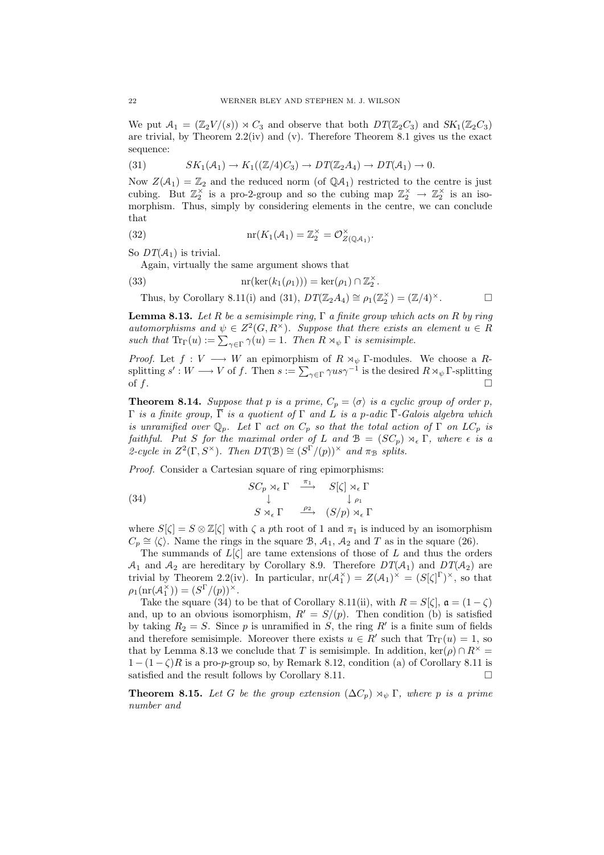We put  $A_1 = (\mathbb{Z}_2 V/(s)) \rtimes C_3$  and observe that both  $DT(\mathbb{Z}_2 C_3)$  and  $SK_1(\mathbb{Z}_2 C_3)$ are trivial, by Theorem 2.2(iv) and (v). Therefore Theorem 8.1 gives us the exact sequence:

(31) 
$$
SK_1(\mathcal{A}_1) \to K_1((\mathbb{Z}/4)C_3) \to DT(\mathbb{Z}_2A_4) \to DT(\mathcal{A}_1) \to 0.
$$

Now  $Z(\mathcal{A}_1) = \mathbb{Z}_2$  and the reduced norm (of  $\mathbb{Q}\mathcal{A}_1$ ) restricted to the centre is just cubing. But  $\mathbb{Z}_2^{\times}$  is a pro-2-group and so the cubing map  $\mathbb{Z}_2^{\times} \to \mathbb{Z}_2^{\times}$  is an isomorphism. Thus, simply by considering elements in the centre, we can conclude that

(32) 
$$
\operatorname{nr}(K_1(\mathcal{A}_1) = \mathbb{Z}_2^{\times} = \mathcal{O}_{Z(\mathbb{Q}\mathcal{A}_1)}^{\times}.
$$

So  $DT(\mathcal{A}_1)$  is trivial.

Again, virtually the same argument shows that

(33)  $\text{nr}(\text{ker}(k_1(\rho_1))) = \text{ker}(\rho_1) \cap \mathbb{Z}_2^{\times}.$ 

Thus, by Corollary 8.11(i) and (31),  $DT(\mathbb{Z}_2 A_4) \cong \rho_1(\mathbb{Z}_2^{\times}) = (\mathbb{Z}/4)^{\times}$ .

**Lemma 8.13.** Let R be a semisimple ring,  $\Gamma$  a finite group which acts on R by ring automorphisms and  $\psi \in Z^2(G, R^{\times})$ . Suppose that there exists an element  $u \in R$ such that  $\text{Tr}_{\Gamma}(u) := \sum_{\gamma \in \Gamma} \gamma(u) = 1$ . Then  $R \rtimes_{\psi} \Gamma$  is semisimple.

*Proof.* Let  $f: V \longrightarrow W$  an epimorphism of  $R \rtimes_{\psi} \Gamma$ -modules. We choose a Rsplitting  $s': W \longrightarrow V$  of f. Then  $s := \sum_{\gamma \in \Gamma} \gamma u s \gamma^{-1}$  is the desired  $R \rtimes_{\psi} \Gamma$ -splitting of  $f$ .

**Theorem 8.14.** Suppose that p is a prime,  $C_p = \langle \sigma \rangle$  is a cyclic group of order p,  $Γ$  is a finite group,  $\overline{Γ}$  is a quotient of  $Γ$  and  $L$  is a p-adic  $\overline{Γ}$ -Galois algebra which is unramified over  $\mathbb{Q}_p$ . Let  $\Gamma$  act on  $C_p$  so that the total action of  $\Gamma$  on  $LC_p$  is faithful. Put S for the maximal order of L and  $\mathcal{B} = (SC_p) \rtimes_{\epsilon} \Gamma$ , where  $\epsilon$  is a 2-cycle in  $Z^2(\Gamma, S^{\times})$ . Then  $DT(\mathcal{B}) \cong (S^{\Gamma}/(p))^{\times}$  and  $\pi_{\mathcal{B}}$  splits.

Proof. Consider a Cartesian square of ring epimorphisms:

(34) 
$$
\begin{array}{ccc}\nSC_p \rtimes_{\epsilon} \Gamma & \xrightarrow{\pi_1} & S[\zeta] \rtimes_{\epsilon} \Gamma \\
& \downarrow & \downarrow \rho_1 \\
& S \rtimes_{\epsilon} \Gamma & \xrightarrow{\rho_2} & (S/p) \rtimes_{\epsilon} \Gamma\n\end{array}
$$

where  $S[\zeta] = S \otimes \mathbb{Z}[\zeta]$  with  $\zeta$  a pth root of 1 and  $\pi_1$  is induced by an isomorphism  $C_p \cong \langle \zeta \rangle$ . Name the rings in the square B,  $A_1$ ,  $A_2$  and T as in the square (26).

The summands of  $L[\zeta]$  are tame extensions of those of L and thus the orders  $A_1$  and  $A_2$  are hereditary by Corollary 8.9. Therefore  $DT(A_1)$  and  $DT(A_2)$  are trivial by Theorem 2.2(iv). In particular,  $\text{nr}(\mathcal{A}_1^{\times}) = Z(\mathcal{A}_1)^{\times} = (S[\zeta]^{\Gamma})^{\times}$ , so that  $\rho_1(\operatorname{nr}(\mathcal{A}_1^{\times})) = (S^{\Gamma}/(p))^{\times}.$ 

Take the square (34) to be that of Corollary 8.11(ii), with  $R = S[\zeta], \mathfrak{a} = (1 - \zeta)$ and, up to an obvious isomorphism,  $R' = S/(p)$ . Then condition (b) is satisfied by taking  $R_2 = S$ . Since p is unramified in S, the ring R' is a finite sum of fields and therefore semisimple. Moreover there exists  $u \in R'$  such that  $Tr_{\Gamma}(u) = 1$ , so that by Lemma 8.13 we conclude that T is semisimple. In addition, ker( $\rho$ )  $\cap R^{\times}$  =  $1 - (1 - \zeta)R$  is a pro-p-group so, by Remark 8.12, condition (a) of Corollary 8.11 is satisfied and the result follows by Corollary 8.11.

**Theorem 8.15.** Let G be the group extension  $(\Delta C_p) \rtimes_{\psi} \Gamma$ , where p is a prime number and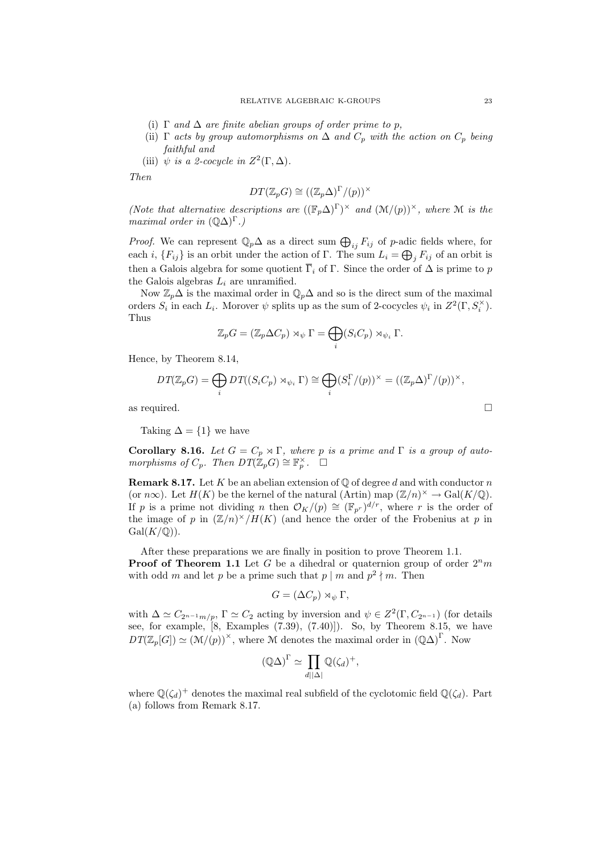- (i)  $\Gamma$  and  $\Delta$  are finite abelian groups of order prime to p,
- (ii)  $\Gamma$  acts by group automorphisms on  $\Delta$  and  $C_p$  with the action on  $C_p$  being faithful and
- (iii)  $\psi$  is a 2-cocycle in  $Z^2(\Gamma, \Delta)$ .

Then

$$
DT(\mathbb{Z}_p G) \cong ((\mathbb{Z}_p \Delta)^{\Gamma}/(p))^\times
$$

(Note that alternative descriptions are  $((\mathbb{F}_p\Delta)^{\Gamma})^{\times}$  and  $(\mathcal{M}/(p))^{\times}$ , where  $\mathcal M$  is the maximal order in  $(\mathbb{Q}\Delta)^{\Gamma}$ .)

*Proof.* We can represent  $\mathbb{Q}_p \Delta$  as a direct sum  $\bigoplus_{ij} F_{ij}$  of p-adic fields where, for each i,  $\{F_{ij}\}\$ is an orbit under the action of Γ. The sum  $L_i = \bigoplus_j F_{ij}$  of an orbit is then a Galois algebra for some quotient  $\overline{\Gamma}_i$  of  $\Gamma$ . Since the order of  $\Delta$  is prime to p the Galois algebras  $L_i$  are unramified.

Now  $\mathbb{Z}_p\Delta$  is the maximal order in  $\mathbb{Q}_p\Delta$  and so is the direct sum of the maximal orders  $S_i$  in each  $L_i$ . Morover  $\psi$  splits up as the sum of 2-cocycles  $\psi_i$  in  $Z^2(\Gamma, S_i^{\times})$ . Thus

$$
\mathbb{Z}_p G = (\mathbb{Z}_p \Delta C_p) \rtimes_{\psi} \Gamma = \bigoplus_i (S_i C_p) \rtimes_{\psi_i} \Gamma.
$$

Hence, by Theorem 8.14,

$$
DT(\mathbb{Z}_p G) = \bigoplus_i DT((S_i C_p) \rtimes_{\psi_i} \Gamma) \cong \bigoplus_i (S_i^{\Gamma}/(p))^{\times} = ((\mathbb{Z}_p \Delta)^{\Gamma}/(p))^{\times},
$$

as required.  $\Box$ 

Taking  $\Delta = \{1\}$  we have

Corollary 8.16. Let  $G = C_p \rtimes \Gamma$ , where p is a prime and  $\Gamma$  is a group of automorphisms of  $C_p$ . Then  $DT(\mathbb{Z}_p G) \cong \mathbb{F}_p^{\times}$ .  $\Box$ 

**Remark 8.17.** Let K be an abelian extension of  $\mathbb{Q}$  of degree d and with conductor n (or  $n\infty$ ). Let  $H(K)$  be the kernel of the natural (Artin) map  $(\mathbb{Z}/n)^{\times} \to \text{Gal}(K/\mathbb{Q})$ . If p is a prime not dividing n then  $\mathcal{O}_K/(p) \cong (\mathbb{F}_{p^r})^{d/r}$ , where r is the order of the image of p in  $(\mathbb{Z}/n)^{\times}/H(K)$  (and hence the order of the Frobenius at p in  $Gal(K/\mathbb{Q}))$ .

After these preparations we are finally in position to prove Theorem 1.1. **Proof of Theorem 1.1** Let G be a dihedral or quaternion group of order  $2<sup>n</sup>m$ with odd m and let p be a prime such that  $p \mid m$  and  $p^2 \nmid m$ . Then

$$
G = (\Delta C_p) \rtimes_{\psi} \Gamma,
$$

with  $\Delta \simeq C_{2^{n-1}m/p}$ ,  $\Gamma \simeq C_2$  acting by inversion and  $\psi \in Z^2(\Gamma, C_{2^{n-1}})$  (for details see, for example, [8, Examples (7.39), (7.40)]). So, by Theorem 8.15, we have  $DT(\mathbb{Z}_p[G]) \simeq (\mathcal{M}/(p))^\times$ , where M denotes the maximal order in  $(\mathbb{Q}\Delta)^{\Gamma}$ . Now

$$
(\mathbb{Q}\Delta)^{\Gamma} \simeq \prod_{d||\Delta|} \mathbb{Q}(\zeta_d)^+,
$$

where  $\mathbb{Q}(\zeta_d)^+$  denotes the maximal real subfield of the cyclotomic field  $\mathbb{Q}(\zeta_d)$ . Part (a) follows from Remark 8.17.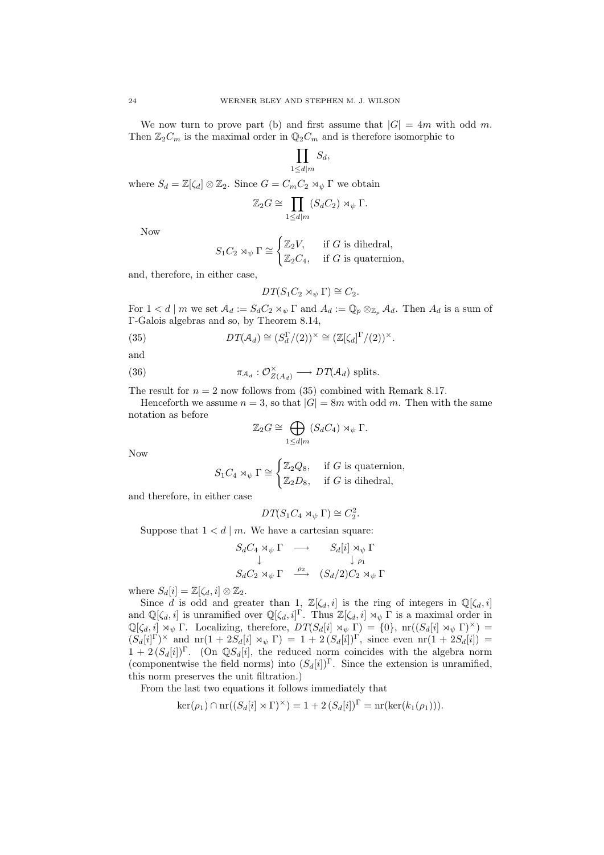We now turn to prove part (b) and first assume that  $|G| = 4m$  with odd m. Then  $\mathbb{Z}_2C_m$  is the maximal order in  $\mathbb{Q}_2C_m$  and is therefore isomorphic to

$$
\prod_{1 \le d \mid m} S_d,
$$

where  $S_d = \mathbb{Z}[\zeta_d] \otimes \mathbb{Z}_2$ . Since  $G = C_m C_2 \rtimes_{\psi} \Gamma$  we obtain

$$
\mathbb{Z}_2 G \cong \prod_{1 \le d \mid m} (S_d C_2) \rtimes_{\psi} \Gamma.
$$

Now

$$
S_1 C_2 \rtimes_{\psi} \Gamma \cong \begin{cases} \mathbb{Z}_2 V, & \text{if } G \text{ is dihedral,} \\ \mathbb{Z}_2 C_4, & \text{if } G \text{ is quaternion,} \end{cases}
$$

and, therefore, in either case,

$$
DT(S_1C_2\rtimes_{\psi}\Gamma)\cong C_2.
$$

For  $1 < d \mid m$  we set  $\mathcal{A}_d := S_d C_2 \rtimes_{\psi} \Gamma$  and  $A_d := \mathbb{Q}_p \otimes_{\mathbb{Z}_p} \mathcal{A}_d$ . Then  $A_d$  is a sum of Γ-Galois algebras and so, by Theorem 8.14,

(35) 
$$
DT(\mathcal{A}_d) \cong (S_d^{\Gamma}/(2))^{\times} \cong (\mathbb{Z}[\zeta_d]^{\Gamma}/(2))^{\times}.
$$

and

(36)  $\pi_{A_d}: \mathcal{O}_{Z(A_d)}^{\times} \longrightarrow DT(A_d)$  splits.

The result for  $n = 2$  now follows from (35) combined with Remark 8.17.

Henceforth we assume  $n = 3$ , so that  $|G| = 8m$  with odd m. Then with the same notation as before

$$
\mathbb{Z}_2 G \cong \bigoplus_{1 \le d \mid m} (S_d C_4) \rtimes_{\psi} \Gamma.
$$

Now

$$
S_1 C_4 \rtimes_{\psi} \Gamma \cong \begin{cases} \mathbb{Z}_2 Q_8, & \text{if } G \text{ is quaternion,} \\ \mathbb{Z}_2 D_8, & \text{if } G \text{ is dihedral,} \end{cases}
$$

and therefore, in either case

$$
DT(S_1C_4 \rtimes_{\psi} \Gamma) \cong C_2^2
$$

.

Suppose that  $1 < d \mid m$ . We have a cartesian square:

$$
S_d C_4 \rtimes_{\psi} \Gamma \longrightarrow S_d[i] \rtimes_{\psi} \Gamma
$$
  
\n
$$
\downarrow \qquad \qquad \downarrow \qquad \qquad \downarrow \qquad \qquad \downarrow \qquad \qquad \downarrow \qquad \downarrow \qquad \downarrow \qquad \downarrow \qquad \downarrow \qquad \downarrow \qquad \downarrow \qquad \downarrow \qquad \downarrow \qquad \downarrow \qquad \downarrow \qquad \downarrow \qquad \downarrow \qquad \downarrow \qquad \downarrow \qquad \downarrow \qquad \downarrow \qquad \downarrow \qquad \downarrow \qquad \downarrow \qquad \downarrow \qquad \downarrow \qquad \downarrow \qquad \downarrow \qquad \downarrow \qquad \downarrow \qquad \downarrow \qquad \downarrow \qquad \downarrow \qquad \downarrow \qquad \downarrow \qquad \downarrow \qquad \downarrow \qquad \downarrow \qquad \downarrow \qquad \downarrow \qquad \downarrow \qquad \downarrow \qquad \downarrow \qquad \downarrow \qquad \downarrow \qquad \downarrow \qquad \downarrow \qquad \downarrow \qquad \downarrow \qquad \downarrow \qquad \downarrow \qquad \downarrow \qquad \downarrow \qquad \downarrow \qquad \downarrow \qquad \downarrow \qquad \downarrow \qquad \downarrow \qquad \downarrow \qquad \downarrow \qquad \downarrow \qquad \downarrow \qquad \downarrow \qquad \downarrow \qquad \downarrow \qquad \downarrow \qquad \downarrow \qquad \downarrow \qquad \downarrow \qquad \downarrow \qquad \downarrow \qquad \downarrow \qquad \downarrow \qquad \downarrow \qquad \downarrow \qquad \downarrow \qquad \downarrow \qquad \downarrow \qquad \downarrow \qquad \downarrow \qquad \downarrow \qquad \downarrow \qquad \downarrow \qquad \downarrow \qquad \downarrow \qquad \downarrow \qquad \downarrow \qquad \downarrow \qquad \downarrow \qquad \downarrow \qquad \downarrow \qquad \downarrow \qquad \downarrow \qquad \downarrow \qquad \downarrow \qquad \downarrow \qquad \downarrow \qquad \downarrow \qquad \downarrow \qquad \downarrow \qquad \downarrow \qquad \downarrow \qquad \downarrow \qquad \downarrow \qquad \downarrow \qquad \downarrow \qquad \downarrow \qquad \downarrow \qquad \downarrow \qquad \downarrow \qquad \downarrow \qquad \downarrow \qquad \downarrow \qquad \downarrow \qquad \downarrow \qquad \downarrow \qquad \downarrow \qquad \downarrow \q
$$

where  $S_d[i] = \mathbb{Z}[\zeta_d, i] \otimes \mathbb{Z}_2$ .

Since d is odd and greater than 1,  $\mathbb{Z}[\zeta_d, i]$  is the ring of integers in  $\mathbb{Q}[\zeta_d, i]$ and  $\mathbb{Q}[\zeta_d, i]$  is unramified over  $\mathbb{Q}[\zeta_d, i]^\Gamma$ . Thus  $\mathbb{Z}[\zeta_d, i] \rtimes_{\psi} \Gamma$  is a maximal order in  $\mathbb{Q}[\zeta_d, i] \rtimes_{\psi} \Gamma$ . Localizing, therefore,  $DT(S_d[i] \rtimes_{\psi} \Gamma) = \{0\}$ ,  $nr((S_d[i] \rtimes_{\psi} \Gamma)^{\times}) =$  $(S_d[i]^{\Gamma})^{\times}$  and  $\operatorname{nr}(1+2S_d[i] \rtimes_{\psi} \Gamma) = 1 + 2(S_d[i])^{\Gamma}$ , since even  $\operatorname{nr}(1+2S_d[i]) =$  $1 + 2 (S_d[i])^{\Gamma}$ . (On Q $S_d[i]$ , the reduced norm coincides with the algebra norm (componentwise the field norms) into  $(S_d[i])^{\Gamma}$ . Since the extension is unramified, this norm preserves the unit filtration.)

From the last two equations it follows immediately that

$$
\ker(\rho_1) \cap \operatorname{nr}((S_d[i] \rtimes \Gamma)^\times) = 1 + 2(S_d[i])^{\Gamma} = \operatorname{nr}(\ker(k_1(\rho_1))).
$$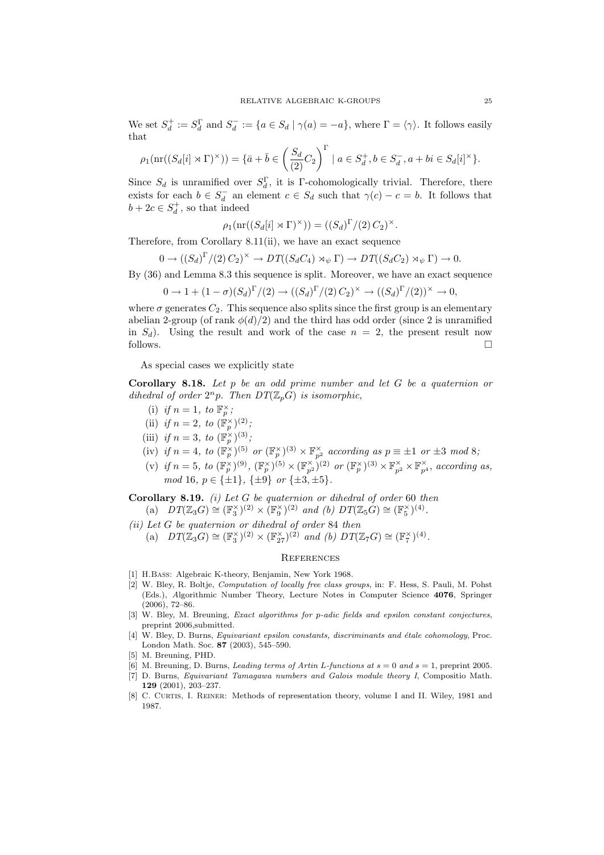We set  $S_d^+ := S_d^{\Gamma}$  and  $S_d^- := \{a \in S_d \mid \gamma(a) = -a\}$ , where  $\Gamma = \langle \gamma \rangle$ . It follows easily that

$$
\rho_1(\operatorname{nr}((S_d[i] \rtimes \Gamma)^\times)) = \{\bar{a} + \bar{b} \in \left(\frac{S_d}{(2)}C_2\right)^\Gamma \mid a \in S_d^+, b \in S_d^-, a + bi \in S_d[i]^\times\}.
$$

Since  $S_d$  is unramified over  $S_d^{\Gamma}$ , it is Γ-cohomologically trivial. Therefore, there exists for each  $b \in S_d^-$  an element  $c \in S_d$  such that  $\gamma(c) - c = b$ . It follows that  $b + 2c \in S_d^+$ , so that indeed

$$
\rho_1(\operatorname{nr}((S_d[i] \rtimes \Gamma)^\times)) = ((S_d)^{\Gamma}/(2) C_2)^\times.
$$

Therefore, from Corollary 8.11(ii), we have an exact sequence

$$
0 \to ((S_d)^{\Gamma}/(2) C_2)^{\times} \to DT((S_d C_4) \rtimes_{\psi} \Gamma) \to DT((S_d C_2) \rtimes_{\psi} \Gamma) \to 0.
$$

By (36) and Lemma 8.3 this sequence is split. Moreover, we have an exact sequence

$$
0 \to 1 + (1 - \sigma)(S_d)^{\Gamma}/(2) \to ((S_d)^{\Gamma}/(2) C_2)^{\times} \to ((S_d)^{\Gamma}/(2))^{\times} \to 0,
$$

where  $\sigma$  generates  $C_2$ . This sequence also splits since the first group is an elementary abelian 2-group (of rank  $\phi(d)/2$ ) and the third has odd order (since 2 is unramified in  $S_d$ ). Using the result and work of the case  $n = 2$ , the present result now follows.

As special cases we explicitly state

Corollary 8.18. Let  $p$  be an odd prime number and let  $G$  be a quaternion or dihedral of order  $2^n p$ . Then  $DT(\mathbb{Z}_p G)$  is isomorphic,

- (i) if  $n = 1$ , to  $\mathbb{F}_p^{\times}$ ;
- (ii) if  $n = 2$ , to  $(\mathbb{F}_p^{\times})^{(2)}$ ;
- (iii) if  $n=3$ , to  $(\mathbb{F}_p^{\times})^{(3)}$ ;
- (iv) if  $n = 4$ , to  $(\mathbb{F}_p^{\times})^{(5)}$  or  $(\mathbb{F}_p^{\times})^{(3)} \times \mathbb{F}_{p^2}^{\times}$  according as  $p \equiv \pm 1$  or  $\pm 3 \mod 8$ ;
- (v) if  $n = 5$ , to  $(\mathbb{F}_p^{\times})^{(9)}$ ,  $(\mathbb{F}_p^{\times})^{(5)} \times (\mathbb{F}_{p^2}^{\times})^{(2)}$  or  $(\mathbb{F}_p^{\times})^{(3)} \times \mathbb{F}_{p^2}^{\times} \times \mathbb{F}_{p^4}^{\times}$ , according as, mod 16,  $p \in {\pm 1}$ ,  ${\pm 9}$  or  ${\pm 3, \pm 5}$ .

**Corollary 8.19.** (i) Let G be quaternion or dihedral of order 60 then (a)  $DT(\mathbb{Z}_3 G) \cong (\mathbb{F}_3^{\times})^{(2)} \times (\mathbb{F}_9^{\times})^{(2)}$  and (b)  $DT(\mathbb{Z}_5 G) \cong (\mathbb{F}_5^{\times})^{(4)}$ .

(ii) Let G be quaternion or dihedral of order 84 then

(a)  $DT(\mathbb{Z}_3 G) \cong (\mathbb{F}_3^{\times})^{(2)} \times (\mathbb{F}_{27}^{\times})^{(2)}$  and (b)  $DT(\mathbb{Z}_7 G) \cong (\mathbb{F}_7^{\times})^{(4)}$ .

### **REFERENCES**

- [1] H.Bass: Algebraic K-theory, Benjamin, New York 1968.
- [2] W. Bley, R. Boltje, Computation of locally free class groups, in: F. Hess, S. Pauli, M. Pohst (Eds.), Algorithmic Number Theory, Lecture Notes in Computer Science 4076, Springer (2006), 72–86.
- [3] W. Bley, M. Breuning, *Exact algorithms for p-adic fields and epsilon constant conjectures*, preprint 2006,submitted.
- [4] W. Bley, D. Burns, *Equivariant epsilon constants, discriminants and étale cohomology*, Proc. London Math. Soc. 87 (2003), 545–590.
- [5] M. Breuning, PHD.
- [6] M. Breuning, D. Burns, *Leading terms of Artin L-functions at*  $s = 0$  and  $s = 1$ , preprint 2005.
- [7] D. Burns, Equivariant Tamagawa numbers and Galois module theory I, Compositio Math. 129 (2001), 203–237.
- [8] C. CURTIS, I. REINER: Methods of representation theory, volume I and II. Wiley, 1981 and 1987.